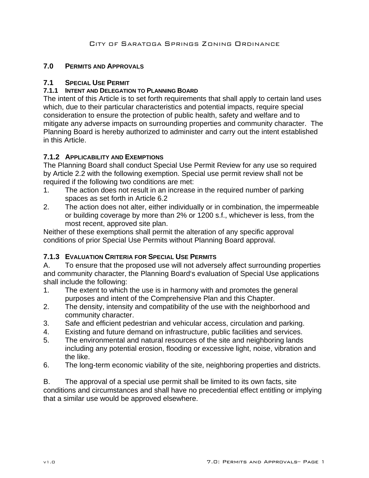## **7.0 PERMITS AND APPROVALS**

#### **7.1 SPECIAL USE PERMIT**

#### **7.1.1 INTENT AND DELEGATION TO PLANNING BOARD**

The intent of this Article is to set forth requirements that shall apply to certain land uses which, due to their particular characteristics and potential impacts, require special consideration to ensure the protection of public health, safety and welfare and to mitigate any adverse impacts on surrounding properties and community character. The Planning Board is hereby authorized to administer and carry out the intent established in this Article.

## **7.1.2 APPLICABILITY AND EXEMPTIONS**

The Planning Board shall conduct Special Use Permit Review for any use so required by Article 2.2 with the following exemption. Special use permit review shall not be required if the following two conditions are met:

- 1. The action does not result in an increase in the required number of parking spaces as set forth in Article 6.2
- 2. The action does not alter, either individually or in combination, the impermeable or building coverage by more than 2% or 1200 s.f., whichever is less, from the most recent, approved site plan.

Neither of these exemptions shall permit the alteration of any specific approval conditions of prior Special Use Permits without Planning Board approval.

## **7.1.3 EVALUATION CRITERIA FOR SPECIAL USE PERMITS**

A. To ensure that the proposed use will not adversely affect surrounding properties and community character, the Planning Board's evaluation of Special Use applications shall include the following:

- 1. The extent to which the use is in harmony with and promotes the general purposes and intent of the Comprehensive Plan and this Chapter.
- 2. The density, intensity and compatibility of the use with the neighborhood and community character.
- 3. Safe and efficient pedestrian and vehicular access, circulation and parking.
- 4. Existing and future demand on infrastructure, public facilities and services.
- 5. The environmental and natural resources of the site and neighboring lands including any potential erosion, flooding or excessive light, noise, vibration and the like.
- 6. The long-term economic viability of the site, neighboring properties and districts.

B. The approval of a special use permit shall be limited to its own facts, site conditions and circumstances and shall have no precedential effect entitling or implying that a similar use would be approved elsewhere.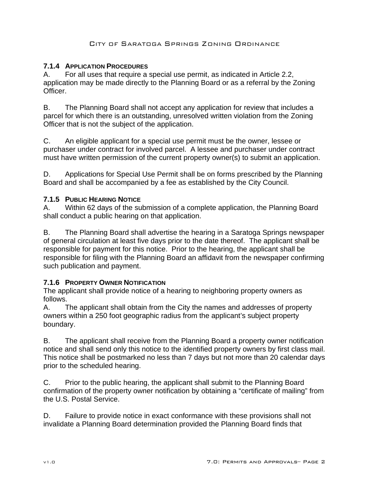## **7.1.4 APPLICATION PROCEDURES**

A. For all uses that require a special use permit, as indicated in Article 2.2, application may be made directly to the Planning Board or as a referral by the Zoning Officer.

B. The Planning Board shall not accept any application for review that includes a parcel for which there is an outstanding, unresolved written violation from the Zoning Officer that is not the subject of the application.

C. An eligible applicant for a special use permit must be the owner, lessee or purchaser under contract for involved parcel. A lessee and purchaser under contract must have written permission of the current property owner(s) to submit an application.

D. Applications for Special Use Permit shall be on forms prescribed by the Planning Board and shall be accompanied by a fee as established by the City Council.

## **7.1.5 PUBLIC HEARING NOTICE**

A. Within 62 days of the submission of a complete application, the Planning Board shall conduct a public hearing on that application.

B. The Planning Board shall advertise the hearing in a Saratoga Springs newspaper of general circulation at least five days prior to the date thereof. The applicant shall be responsible for payment for this notice. Prior to the hearing, the applicant shall be responsible for filing with the Planning Board an affidavit from the newspaper confirming such publication and payment.

## **7.1.6 PROPERTY OWNER NOTIFICATION**

The applicant shall provide notice of a hearing to neighboring property owners as follows.

A. The applicant shall obtain from the City the names and addresses of property owners within a 250 foot geographic radius from the applicant's subject property boundary.

B. The applicant shall receive from the Planning Board a property owner notification notice and shall send only this notice to the identified property owners by first class mail. This notice shall be postmarked no less than 7 days but not more than 20 calendar days prior to the scheduled hearing.

C. Prior to the public hearing, the applicant shall submit to the Planning Board confirmation of the property owner notification by obtaining a "certificate of mailing" from the U.S. Postal Service.

D. Failure to provide notice in exact conformance with these provisions shall not invalidate a Planning Board determination provided the Planning Board finds that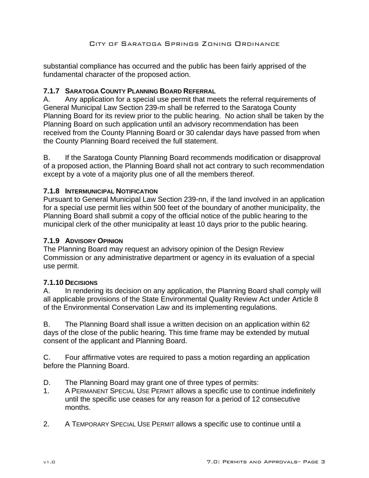substantial compliance has occurred and the public has been fairly apprised of the fundamental character of the proposed action.

## **7.1.7 SARATOGA COUNTY PLANNING BOARD REFERRAL**

A. Any application for a special use permit that meets the referral requirements of General Municipal Law Section 239-m shall be referred to the Saratoga County Planning Board for its review prior to the public hearing. No action shall be taken by the Planning Board on such application until an advisory recommendation has been received from the County Planning Board or 30 calendar days have passed from when the County Planning Board received the full statement.

B. If the Saratoga County Planning Board recommends modification or disapproval of a proposed action, the Planning Board shall not act contrary to such recommendation except by a vote of a majority plus one of all the members thereof.

## **7.1.8 INTERMUNICIPAL NOTIFICATION**

Pursuant to General Municipal Law Section 239-nn, if the land involved in an application for a special use permit lies within 500 feet of the boundary of another municipality, the Planning Board shall submit a copy of the official notice of the public hearing to the municipal clerk of the other municipality at least 10 days prior to the public hearing.

#### **7.1.9 ADVISORY OPINION**

The Planning Board may request an advisory opinion of the Design Review Commission or any administrative department or agency in its evaluation of a special use permit.

#### **7.1.10 DECISIONS**

A. In rendering its decision on any application, the Planning Board shall comply will all applicable provisions of the State Environmental Quality Review Act under Article 8 of the Environmental Conservation Law and its implementing regulations.

B. The Planning Board shall issue a written decision on an application within 62 days of the close of the public hearing. This time frame may be extended by mutual consent of the applicant and Planning Board.

C. Four affirmative votes are required to pass a motion regarding an application before the Planning Board.

- D. The Planning Board may grant one of three types of permits:
- 1. A PERMANENT SPECIAL USE PERMIT allows a specific use to continue indefinitely until the specific use ceases for any reason for a period of 12 consecutive months.
- 2. A TEMPORARY SPECIAL USE PERMIT allows a specific use to continue until a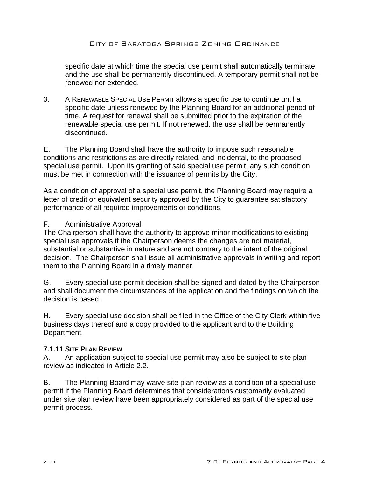specific date at which time the special use permit shall automatically terminate and the use shall be permanently discontinued. A temporary permit shall not be renewed nor extended.

3. A RENEWABLE SPECIAL USE PERMIT allows a specific use to continue until a specific date unless renewed by the Planning Board for an additional period of time. A request for renewal shall be submitted prior to the expiration of the renewable special use permit. If not renewed, the use shall be permanently discontinued.

E. The Planning Board shall have the authority to impose such reasonable conditions and restrictions as are directly related, and incidental, to the proposed special use permit. Upon its granting of said special use permit, any such condition must be met in connection with the issuance of permits by the City.

As a condition of approval of a special use permit, the Planning Board may require a letter of credit or equivalent security approved by the City to guarantee satisfactory performance of all required improvements or conditions.

#### F. Administrative Approval

The Chairperson shall have the authority to approve minor modifications to existing special use approvals if the Chairperson deems the changes are not material, substantial or substantive in nature and are not contrary to the intent of the original decision. The Chairperson shall issue all administrative approvals in writing and report them to the Planning Board in a timely manner.

G. Every special use permit decision shall be signed and dated by the Chairperson and shall document the circumstances of the application and the findings on which the decision is based.

H. Every special use decision shall be filed in the Office of the City Clerk within five business days thereof and a copy provided to the applicant and to the Building Department.

#### **7.1.11 SITE PLAN REVIEW**

A. An application subject to special use permit may also be subject to site plan review as indicated in Article 2.2.

B. The Planning Board may waive site plan review as a condition of a special use permit if the Planning Board determines that considerations customarily evaluated under site plan review have been appropriately considered as part of the special use permit process.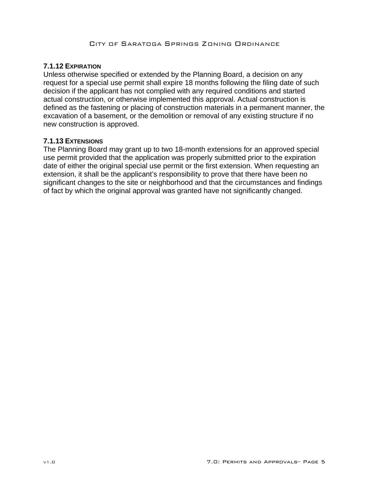## **7.1.12 EXPIRATION**

Unless otherwise specified or extended by the Planning Board, a decision on any request for a special use permit shall expire 18 months following the filing date of such decision if the applicant has not complied with any required conditions and started actual construction, or otherwise implemented this approval. Actual construction is defined as the fastening or placing of construction materials in a permanent manner, the excavation of a basement, or the demolition or removal of any existing structure if no new construction is approved.

## **7.1.13 EXTENSIONS**

The Planning Board may grant up to two 18-month extensions for an approved special use permit provided that the application was properly submitted prior to the expiration date of either the original special use permit or the first extension. When requesting an extension, it shall be the applicant's responsibility to prove that there have been no significant changes to the site or neighborhood and that the circumstances and findings of fact by which the original approval was granted have not significantly changed.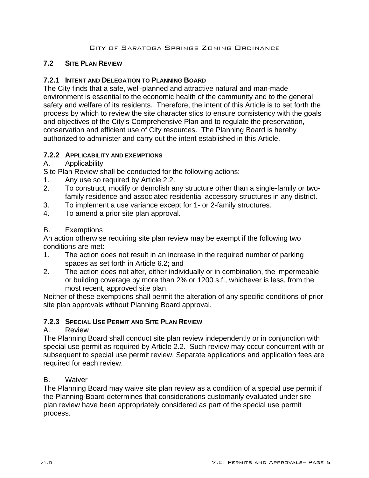## **7.2 SITE PLAN REVIEW**

## **7.2.1 INTENT AND DELEGATION TO PLANNING BOARD**

The City finds that a safe, well-planned and attractive natural and man-made environment is essential to the economic health of the community and to the general safety and welfare of its residents. Therefore, the intent of this Article is to set forth the process by which to review the site characteristics to ensure consistency with the goals and objectives of the City's Comprehensive Plan and to regulate the preservation, conservation and efficient use of City resources. The Planning Board is hereby authorized to administer and carry out the intent established in this Article.

## **7.2.2 APPLICABILITY AND EXEMPTIONS**

## A. Applicability

Site Plan Review shall be conducted for the following actions:

- 1. Any use so required by Article 2.2.
- 2. To construct, modify or demolish any structure other than a single-family or twofamily residence and associated residential accessory structures in any district.
- 3. To implement a use variance except for 1- or 2-family structures.
- 4. To amend a prior site plan approval.

## B. Exemptions

An action otherwise requiring site plan review may be exempt if the following two conditions are met:

- 1. The action does not result in an increase in the required number of parking spaces as set forth in Article 6.2; and
- 2. The action does not alter, either individually or in combination, the impermeable or building coverage by more than 2% or 1200 s.f., whichever is less, from the most recent, approved site plan.

Neither of these exemptions shall permit the alteration of any specific conditions of prior site plan approvals without Planning Board approval.

# **7.2.3 SPECIAL USE PERMIT AND SITE PLAN REVIEW**

## A. Review

The Planning Board shall conduct site plan review independently or in conjunction with special use permit as required by Article 2.2. Such review may occur concurrent with or subsequent to special use permit review. Separate applications and application fees are required for each review.

# B. Waiver

The Planning Board may waive site plan review as a condition of a special use permit if the Planning Board determines that considerations customarily evaluated under site plan review have been appropriately considered as part of the special use permit process.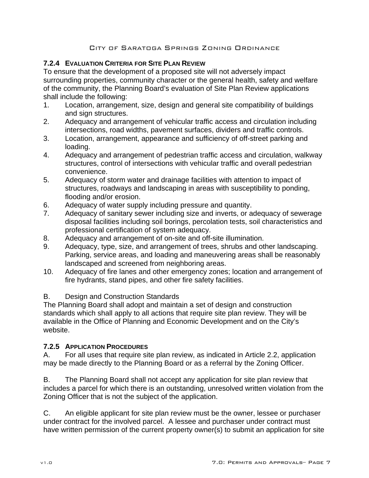# **7.2.4 EVALUATION CRITERIA FOR SITE PLAN REVIEW**

To ensure that the development of a proposed site will not adversely impact surrounding properties, community character or the general health, safety and welfare of the community, the Planning Board's evaluation of Site Plan Review applications shall include the following:

- 1. Location, arrangement, size, design and general site compatibility of buildings and sign structures.
- 2. Adequacy and arrangement of vehicular traffic access and circulation including intersections, road widths, pavement surfaces, dividers and traffic controls.
- 3. Location, arrangement, appearance and sufficiency of off-street parking and loading.
- 4. Adequacy and arrangement of pedestrian traffic access and circulation, walkway structures, control of intersections with vehicular traffic and overall pedestrian convenience.
- 5. Adequacy of storm water and drainage facilities with attention to impact of structures, roadways and landscaping in areas with susceptibility to ponding, flooding and/or erosion.
- 6. Adequacy of water supply including pressure and quantity.
- 7. Adequacy of sanitary sewer including size and inverts, or adequacy of sewerage disposal facilities including soil borings, percolation tests, soil characteristics and professional certification of system adequacy.
- 8. Adequacy and arrangement of on-site and off-site illumination.
- 9. Adequacy, type, size, and arrangement of trees, shrubs and other landscaping. Parking, service areas, and loading and maneuvering areas shall be reasonably landscaped and screened from neighboring areas.
- 10. Adequacy of fire lanes and other emergency zones; location and arrangement of fire hydrants, stand pipes, and other fire safety facilities.

B. Design and Construction Standards

The Planning Board shall adopt and maintain a set of design and construction standards which shall apply to all actions that require site plan review. They will be available in the Office of Planning and Economic Development and on the City's website.

# **7.2.5 APPLICATION PROCEDURES**

A. For all uses that require site plan review, as indicated in Article 2.2, application may be made directly to the Planning Board or as a referral by the Zoning Officer.

B. The Planning Board shall not accept any application for site plan review that includes a parcel for which there is an outstanding, unresolved written violation from the Zoning Officer that is not the subject of the application.

C. An eligible applicant for site plan review must be the owner, lessee or purchaser under contract for the involved parcel. A lessee and purchaser under contract must have written permission of the current property owner(s) to submit an application for site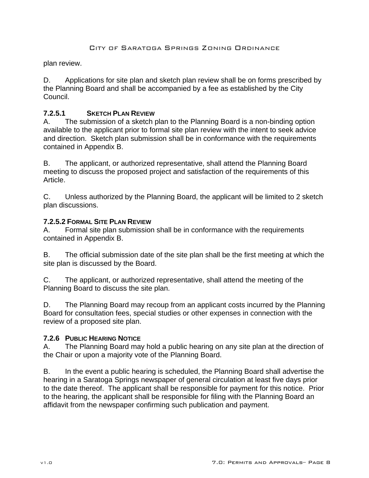plan review.

D. Applications for site plan and sketch plan review shall be on forms prescribed by the Planning Board and shall be accompanied by a fee as established by the City Council.

## **7.2.5.1 SKETCH PLAN REVIEW**

A. The submission of a sketch plan to the Planning Board is a non-binding option available to the applicant prior to formal site plan review with the intent to seek advice and direction. Sketch plan submission shall be in conformance with the requirements contained in Appendix B.

B. The applicant, or authorized representative, shall attend the Planning Board meeting to discuss the proposed project and satisfaction of the requirements of this Article.

C. Unless authorized by the Planning Board, the applicant will be limited to 2 sketch plan discussions.

#### **7.2.5.2 FORMAL SITE PLAN REVIEW**

A. Formal site plan submission shall be in conformance with the requirements contained in Appendix B.

B. The official submission date of the site plan shall be the first meeting at which the site plan is discussed by the Board.

C. The applicant, or authorized representative, shall attend the meeting of the Planning Board to discuss the site plan.

D. The Planning Board may recoup from an applicant costs incurred by the Planning Board for consultation fees, special studies or other expenses in connection with the review of a proposed site plan.

## **7.2.6 PUBLIC HEARING NOTICE**

A. The Planning Board may hold a public hearing on any site plan at the direction of the Chair or upon a majority vote of the Planning Board.

B. In the event a public hearing is scheduled, the Planning Board shall advertise the hearing in a Saratoga Springs newspaper of general circulation at least five days prior to the date thereof. The applicant shall be responsible for payment for this notice. Prior to the hearing, the applicant shall be responsible for filing with the Planning Board an affidavit from the newspaper confirming such publication and payment.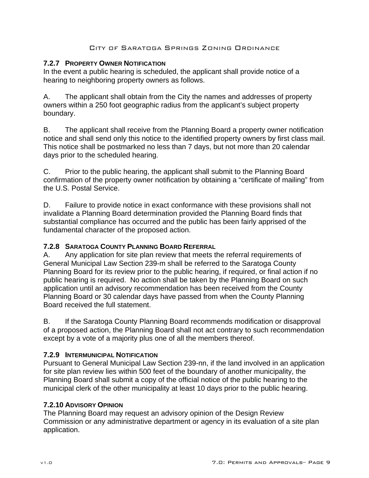#### **7.2.7 PROPERTY OWNER NOTIFICATION**

In the event a public hearing is scheduled, the applicant shall provide notice of a hearing to neighboring property owners as follows.

A. The applicant shall obtain from the City the names and addresses of property owners within a 250 foot geographic radius from the applicant's subject property boundary.

B. The applicant shall receive from the Planning Board a property owner notification notice and shall send only this notice to the identified property owners by first class mail. This notice shall be postmarked no less than 7 days, but not more than 20 calendar days prior to the scheduled hearing.

C. Prior to the public hearing, the applicant shall submit to the Planning Board confirmation of the property owner notification by obtaining a "certificate of mailing" from the U.S. Postal Service.

D. Failure to provide notice in exact conformance with these provisions shall not invalidate a Planning Board determination provided the Planning Board finds that substantial compliance has occurred and the public has been fairly apprised of the fundamental character of the proposed action.

## **7.2.8 SARATOGA COUNTY PLANNING BOARD REFERRAL**

A. Any application for site plan review that meets the referral requirements of General Municipal Law Section 239-m shall be referred to the Saratoga County Planning Board for its review prior to the public hearing, if required, or final action if no public hearing is required. No action shall be taken by the Planning Board on such application until an advisory recommendation has been received from the County Planning Board or 30 calendar days have passed from when the County Planning Board received the full statement.

B. If the Saratoga County Planning Board recommends modification or disapproval of a proposed action, the Planning Board shall not act contrary to such recommendation except by a vote of a majority plus one of all the members thereof.

## **7.2.9 INTERMUNICIPAL NOTIFICATION**

Pursuant to General Municipal Law Section 239-nn, if the land involved in an application for site plan review lies within 500 feet of the boundary of another municipality, the Planning Board shall submit a copy of the official notice of the public hearing to the municipal clerk of the other municipality at least 10 days prior to the public hearing.

## **7.2.10 ADVISORY OPINION**

The Planning Board may request an advisory opinion of the Design Review Commission or any administrative department or agency in its evaluation of a site plan application.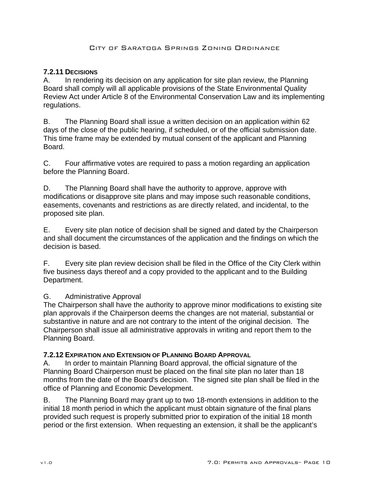## **7.2.11 DECISIONS**

A. In rendering its decision on any application for site plan review, the Planning Board shall comply will all applicable provisions of the State Environmental Quality Review Act under Article 8 of the Environmental Conservation Law and its implementing regulations.

B. The Planning Board shall issue a written decision on an application within 62 days of the close of the public hearing, if scheduled, or of the official submission date. This time frame may be extended by mutual consent of the applicant and Planning Board.

C. Four affirmative votes are required to pass a motion regarding an application before the Planning Board.

D. The Planning Board shall have the authority to approve, approve with modifications or disapprove site plans and may impose such reasonable conditions, easements, covenants and restrictions as are directly related, and incidental, to the proposed site plan.

E. Every site plan notice of decision shall be signed and dated by the Chairperson and shall document the circumstances of the application and the findings on which the decision is based.

F. Every site plan review decision shall be filed in the Office of the City Clerk within five business days thereof and a copy provided to the applicant and to the Building Department.

## G. Administrative Approval

The Chairperson shall have the authority to approve minor modifications to existing site plan approvals if the Chairperson deems the changes are not material, substantial or substantive in nature and are not contrary to the intent of the original decision. The Chairperson shall issue all administrative approvals in writing and report them to the Planning Board.

## **7.2.12 EXPIRATION AND EXTENSION OF PLANNING BOARD APPROVAL**

A. In order to maintain Planning Board approval, the official signature of the Planning Board Chairperson must be placed on the final site plan no later than 18 months from the date of the Board's decision. The signed site plan shall be filed in the office of Planning and Economic Development.

B. The Planning Board may grant up to two 18-month extensions in addition to the initial 18 month period in which the applicant must obtain signature of the final plans provided such request is properly submitted prior to expiration of the initial 18 month period or the first extension. When requesting an extension, it shall be the applicant's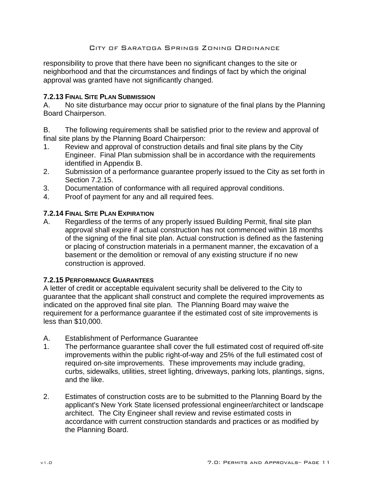responsibility to prove that there have been no significant changes to the site or neighborhood and that the circumstances and findings of fact by which the original approval was granted have not significantly changed.

#### **7.2.13 FINAL SITE PLAN SUBMISSION**

A. No site disturbance may occur prior to signature of the final plans by the Planning Board Chairperson.

B. The following requirements shall be satisfied prior to the review and approval of final site plans by the Planning Board Chairperson:

- 1. Review and approval of construction details and final site plans by the City Engineer. Final Plan submission shall be in accordance with the requirements identified in Appendix B.
- 2. Submission of a performance guarantee properly issued to the City as set forth in Section 7.2.15.
- 3. Documentation of conformance with all required approval conditions.
- 4. Proof of payment for any and all required fees.

#### **7.2.14 FINAL SITE PLAN EXPIRATION**

A. Regardless of the terms of any properly issued Building Permit, final site plan approval shall expire if actual construction has not commenced within 18 months of the signing of the final site plan. Actual construction is defined as the fastening or placing of construction materials in a permanent manner, the excavation of a basement or the demolition or removal of any existing structure if no new construction is approved.

#### **7.2.15 PERFORMANCE GUARANTEES**

A letter of credit or acceptable equivalent security shall be delivered to the City to guarantee that the applicant shall construct and complete the required improvements as indicated on the approved final site plan. The Planning Board may waive the requirement for a performance guarantee if the estimated cost of site improvements is less than \$10,000.

- A. Establishment of Performance Guarantee
- 1. The performance guarantee shall cover the full estimated cost of required off-site improvements within the public right-of-way and 25% of the full estimated cost of required on-site improvements. These improvements may include grading, curbs, sidewalks, utilities, street lighting, driveways, parking lots, plantings, signs, and the like.
- 2. Estimates of construction costs are to be submitted to the Planning Board by the applicant's New York State licensed professional engineer/architect or landscape architect. The City Engineer shall review and revise estimated costs in accordance with current construction standards and practices or as modified by the Planning Board.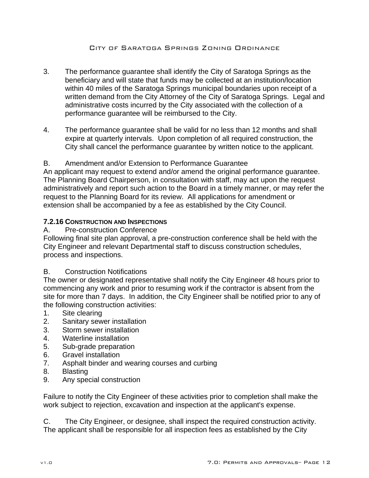- 3. The performance guarantee shall identify the City of Saratoga Springs as the beneficiary and will state that funds may be collected at an institution/location within 40 miles of the Saratoga Springs municipal boundaries upon receipt of a written demand from the City Attorney of the City of Saratoga Springs. Legal and administrative costs incurred by the City associated with the collection of a performance guarantee will be reimbursed to the City.
- 4. The performance guarantee shall be valid for no less than 12 months and shall expire at quarterly intervals. Upon completion of all required construction, the City shall cancel the performance guarantee by written notice to the applicant.

## B. Amendment and/or Extension to Performance Guarantee

An applicant may request to extend and/or amend the original performance guarantee. The Planning Board Chairperson, in consultation with staff, may act upon the request administratively and report such action to the Board in a timely manner, or may refer the request to the Planning Board for its review. All applications for amendment or extension shall be accompanied by a fee as established by the City Council.

## **7.2.16 CONSTRUCTION AND INSPECTIONS**

## A. Pre-construction Conference

Following final site plan approval, a pre-construction conference shall be held with the City Engineer and relevant Departmental staff to discuss construction schedules, process and inspections.

## B. Construction Notifications

The owner or designated representative shall notify the City Engineer 48 hours prior to commencing any work and prior to resuming work if the contractor is absent from the site for more than 7 days. In addition, the City Engineer shall be notified prior to any of the following construction activities:

- 1. Site clearing
- 2. Sanitary sewer installation
- 3. Storm sewer installation
- 4. Waterline installation
- 5. Sub-grade preparation
- 6. Gravel installation
- 7. Asphalt binder and wearing courses and curbing
- 8. Blasting
- 9. Any special construction

Failure to notify the City Engineer of these activities prior to completion shall make the work subject to rejection, excavation and inspection at the applicant's expense.

C. The City Engineer, or designee, shall inspect the required construction activity. The applicant shall be responsible for all inspection fees as established by the City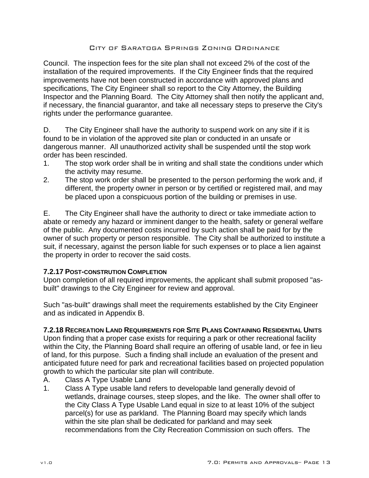Council. The inspection fees for the site plan shall not exceed 2% of the cost of the installation of the required improvements. If the City Engineer finds that the required improvements have not been constructed in accordance with approved plans and specifications, The City Engineer shall so report to the City Attorney, the Building Inspector and the Planning Board. The City Attorney shall then notify the applicant and, if necessary, the financial guarantor, and take all necessary steps to preserve the City's rights under the performance guarantee.

D. The City Engineer shall have the authority to suspend work on any site if it is found to be in violation of the approved site plan or conducted in an unsafe or dangerous manner. All unauthorized activity shall be suspended until the stop work order has been rescinded.

- 1. The stop work order shall be in writing and shall state the conditions under which the activity may resume.
- 2. The stop work order shall be presented to the person performing the work and, if different, the property owner in person or by certified or registered mail, and may be placed upon a conspicuous portion of the building or premises in use.

E. The City Engineer shall have the authority to direct or take immediate action to abate or remedy any hazard or imminent danger to the health, safety or general welfare of the public. Any documented costs incurred by such action shall be paid for by the owner of such property or person responsible. The City shall be authorized to institute a suit, if necessary, against the person liable for such expenses or to place a lien against the property in order to recover the said costs.

## **7.2.17 POST-CONSTRUTION COMPLETION**

Upon completion of all required improvements, the applicant shall submit proposed "asbuilt" drawings to the City Engineer for review and approval.

Such "as-built" drawings shall meet the requirements established by the City Engineer and as indicated in Appendix B.

## **7.2.18 RECREATION LAND REQUIREMENTS FOR SITE PLANS CONTAINING RESIDENTIAL UNITS**

Upon finding that a proper case exists for requiring a park or other recreational facility within the City, the Planning Board shall require an offering of usable land, or fee in lieu of land, for this purpose. Such a finding shall include an evaluation of the present and anticipated future need for park and recreational facilities based on projected population growth to which the particular site plan will contribute.

- A. Class A Type Usable Land
- 1. Class A Type usable land refers to developable land generally devoid of wetlands, drainage courses, steep slopes, and the like. The owner shall offer to the City Class A Type Usable Land equal in size to at least 10% of the subject parcel(s) for use as parkland. The Planning Board may specify which lands within the site plan shall be dedicated for parkland and may seek recommendations from the City Recreation Commission on such offers. The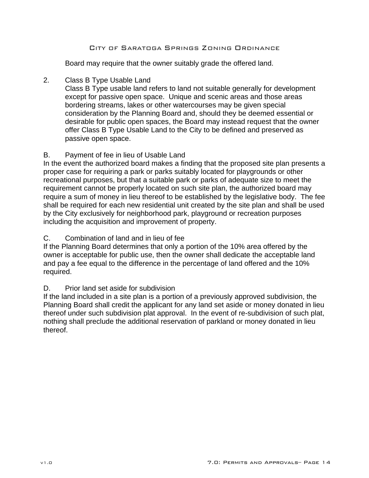Board may require that the owner suitably grade the offered land.

#### 2. Class B Type Usable Land

Class B Type usable land refers to land not suitable generally for development except for passive open space. Unique and scenic areas and those areas bordering streams, lakes or other watercourses may be given special consideration by the Planning Board and, should they be deemed essential or desirable for public open spaces, the Board may instead request that the owner offer Class B Type Usable Land to the City to be defined and preserved as passive open space.

## B. Payment of fee in lieu of Usable Land

In the event the authorized board makes a finding that the proposed site plan presents a proper case for requiring a park or parks suitably located for playgrounds or other recreational purposes, but that a suitable park or parks of adequate size to meet the requirement cannot be properly located on such site plan, the authorized board may require a sum of money in lieu thereof to be established by the legislative body. The fee shall be required for each new residential unit created by the site plan and shall be used by the City exclusively for neighborhood park, playground or recreation purposes including the acquisition and improvement of property.

## C. Combination of land and in lieu of fee

If the Planning Board determines that only a portion of the 10% area offered by the owner is acceptable for public use, then the owner shall dedicate the acceptable land and pay a fee equal to the difference in the percentage of land offered and the 10% required.

## D. Prior land set aside for subdivision

If the land included in a site plan is a portion of a previously approved subdivision, the Planning Board shall credit the applicant for any land set aside or money donated in lieu thereof under such subdivision plat approval. In the event of re-subdivision of such plat, nothing shall preclude the additional reservation of parkland or money donated in lieu thereof.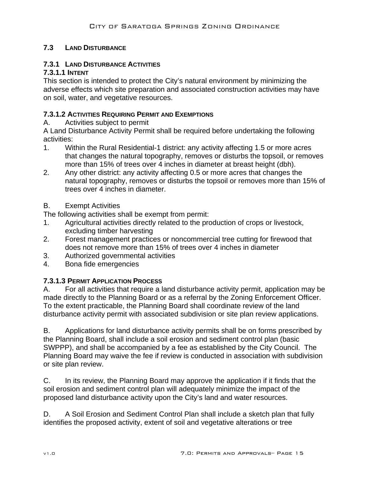# **7.3 LAND DISTURBANCE**

# **7.3.1 LAND DISTURBANCE ACTIVITIES**

# **7.3.1.1 INTENT**

This section is intended to protect the City's natural environment by minimizing the adverse effects which site preparation and associated construction activities may have on soil, water, and vegetative resources.

## **7.3.1.2 ACTIVITIES REQUIRING PERMIT AND EXEMPTIONS**

A. Activities subject to permit

A Land Disturbance Activity Permit shall be required before undertaking the following activities:

- 1. Within the Rural Residential-1 district: any activity affecting 1.5 or more acres that changes the natural topography, removes or disturbs the topsoil, or removes more than 15% of trees over 4 inches in diameter at breast height (dbh).
- 2. Any other district: any activity affecting 0.5 or more acres that changes the natural topography, removes or disturbs the topsoil or removes more than 15% of trees over 4 inches in diameter.
- B. Exempt Activities

The following activities shall be exempt from permit:

- 1. Agricultural activities directly related to the production of crops or livestock, excluding timber harvesting
- 2. Forest management practices or noncommercial tree cutting for firewood that does not remove more than 15% of trees over 4 inches in diameter
- 3. Authorized governmental activities
- 4. Bona fide emergencies

# **7.3.1.3 PERMIT APPLICATION PROCESS**

A. For all activities that require a land disturbance activity permit, application may be made directly to the Planning Board or as a referral by the Zoning Enforcement Officer. To the extent practicable, the Planning Board shall coordinate review of the land disturbance activity permit with associated subdivision or site plan review applications.

B. Applications for land disturbance activity permits shall be on forms prescribed by the Planning Board, shall include a soil erosion and sediment control plan (basic SWPPP), and shall be accompanied by a fee as established by the City Council. The Planning Board may waive the fee if review is conducted in association with subdivision or site plan review.

C. In its review, the Planning Board may approve the application if it finds that the soil erosion and sediment control plan will adequately minimize the impact of the proposed land disturbance activity upon the City's land and water resources.

D. A Soil Erosion and Sediment Control Plan shall include a sketch plan that fully identifies the proposed activity, extent of soil and vegetative alterations or tree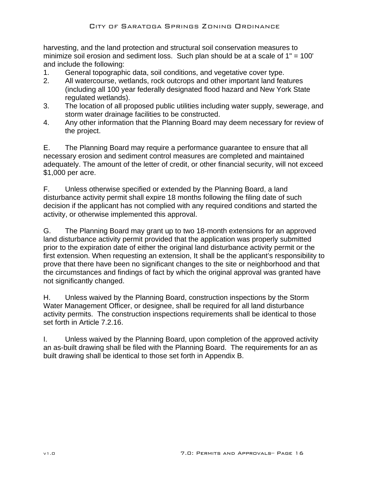harvesting, and the land protection and structural soil conservation measures to minimize soil erosion and sediment loss. Such plan should be at a scale of 1" = 100' and include the following:

- 1. General topographic data, soil conditions, and vegetative cover type.
- 2. All watercourse, wetlands, rock outcrops and other important land features (including all 100 year federally designated flood hazard and New York State regulated wetlands).
- 3. The location of all proposed public utilities including water supply, sewerage, and storm water drainage facilities to be constructed.
- 4. Any other information that the Planning Board may deem necessary for review of the project.

E. The Planning Board may require a performance guarantee to ensure that all necessary erosion and sediment control measures are completed and maintained adequately. The amount of the letter of credit, or other financial security, will not exceed \$1,000 per acre.

F. Unless otherwise specified or extended by the Planning Board, a land disturbance activity permit shall expire 18 months following the filing date of such decision if the applicant has not complied with any required conditions and started the activity, or otherwise implemented this approval.

G. The Planning Board may grant up to two 18-month extensions for an approved land disturbance activity permit provided that the application was properly submitted prior to the expiration date of either the original land disturbance activity permit or the first extension. When requesting an extension, It shall be the applicant's responsibility to prove that there have been no significant changes to the site or neighborhood and that the circumstances and findings of fact by which the original approval was granted have not significantly changed.

H. Unless waived by the Planning Board, construction inspections by the Storm Water Management Officer, or designee, shall be required for all land disturbance activity permits. The construction inspections requirements shall be identical to those set forth in Article 7.2.16.

I. Unless waived by the Planning Board, upon completion of the approved activity an as-built drawing shall be filed with the Planning Board. The requirements for an as built drawing shall be identical to those set forth in Appendix B.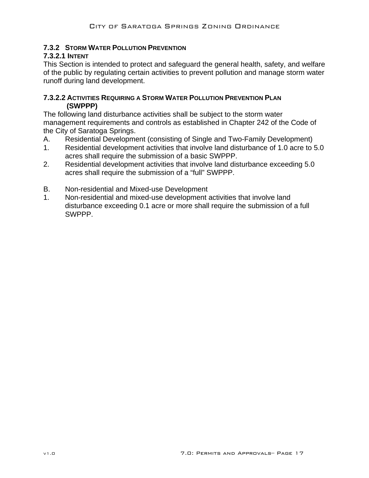# **7.3.2 STORM WATER POLLUTION PREVENTION**

## **7.3.2.1 INTENT**

This Section is intended to protect and safeguard the general health, safety, and welfare of the public by regulating certain activities to prevent pollution and manage storm water runoff during land development.

#### **7.3.2.2 ACTIVITIES REQUIRING A STORM WATER POLLUTION PREVENTION PLAN (SWPPP)**

The following land disturbance activities shall be subject to the storm water management requirements and controls as established in Chapter 242 of the Code of the City of Saratoga Springs.

- A. Residential Development (consisting of Single and Two-Family Development)
- 1. Residential development activities that involve land disturbance of 1.0 acre to 5.0 acres shall require the submission of a basic SWPPP.
- 2. Residential development activities that involve land disturbance exceeding 5.0 acres shall require the submission of a "full" SWPPP.
- B. Non-residential and Mixed-use Development
- 1. Non-residential and mixed-use development activities that involve land disturbance exceeding 0.1 acre or more shall require the submission of a full SWPPP.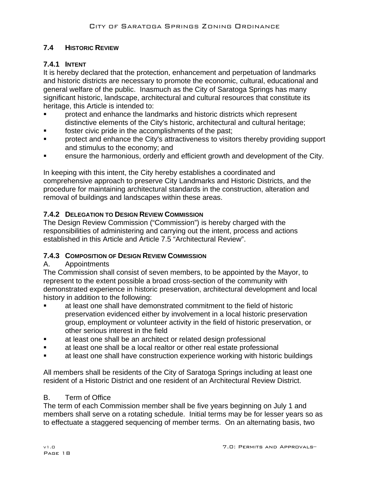# **7.4 HISTORIC REVIEW**

# **7.4.1 INTENT**

It is hereby declared that the protection, enhancement and perpetuation of landmarks and historic districts are necessary to promote the economic, cultural, educational and general welfare of the public. Inasmuch as the City of Saratoga Springs has many significant historic, landscape, architectural and cultural resources that constitute its heritage, this Article is intended to:

- protect and enhance the landmarks and historic districts which represent distinctive elements of the City's historic, architectural and cultural heritage;
- foster civic pride in the accomplishments of the past;
- **Part Exercise 1 Figure 1** Protect and enhance the City's attractiveness to visitors thereby providing support and stimulus to the economy; and
- **EXECT** ensure the harmonious, orderly and efficient growth and development of the City.

In keeping with this intent, the City hereby establishes a coordinated and comprehensive approach to preserve City Landmarks and Historic Districts, and the procedure for maintaining architectural standards in the construction, alteration and removal of buildings and landscapes within these areas.

# **7.4.2 DELEGATION TO DESIGN REVIEW COMMISSION**

The Design Review Commission ("Commission") is hereby charged with the responsibilities of administering and carrying out the intent, process and actions established in this Article and Article 7.5 "Architectural Review".

# **7.4.3 COMPOSITION OF DESIGN REVIEW COMMISSION**

## A. Appointments

The Commission shall consist of seven members, to be appointed by the Mayor, to represent to the extent possible a broad cross-section of the community with demonstrated experience in historic preservation, architectural development and local history in addition to the following:

- at least one shall have demonstrated commitment to the field of historic preservation evidenced either by involvement in a local historic preservation group, employment or volunteer activity in the field of historic preservation, or other serious interest in the field
- at least one shall be an architect or related design professional
- **Example 2** at least one shall be a local realtor or other real estate professional
- at least one shall have construction experience working with historic buildings

All members shall be residents of the City of Saratoga Springs including at least one resident of a Historic District and one resident of an Architectural Review District.

# B. Term of Office

The term of each Commission member shall be five years beginning on July 1 and members shall serve on a rotating schedule. Initial terms may be for lesser years so as to effectuate a staggered sequencing of member terms. On an alternating basis, two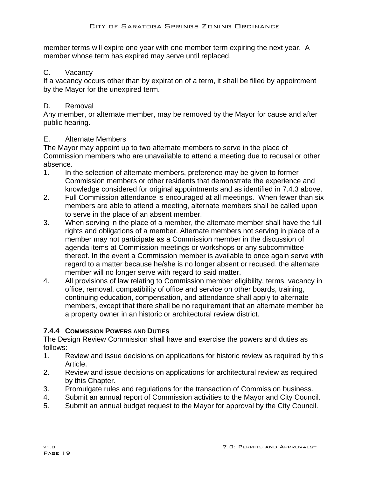member terms will expire one year with one member term expiring the next year. A member whose term has expired may serve until replaced.

## C. Vacancy

If a vacancy occurs other than by expiration of a term, it shall be filled by appointment by the Mayor for the unexpired term.

## D. Removal

Any member, or alternate member, may be removed by the Mayor for cause and after public hearing.

## E. Alternate Members

The Mayor may appoint up to two alternate members to serve in the place of Commission members who are unavailable to attend a meeting due to recusal or other absence.

- 1. In the selection of alternate members, preference may be given to former Commission members or other residents that demonstrate the experience and knowledge considered for original appointments and as identified in 7.4.3 above.
- 2. Full Commission attendance is encouraged at all meetings. When fewer than six members are able to attend a meeting, alternate members shall be called upon to serve in the place of an absent member.
- 3. When serving in the place of a member, the alternate member shall have the full rights and obligations of a member. Alternate members not serving in place of a member may not participate as a Commission member in the discussion of agenda items at Commission meetings or workshops or any subcommittee thereof. In the event a Commission member is available to once again serve with regard to a matter because he/she is no longer absent or recused, the alternate member will no longer serve with regard to said matter.
- 4. All provisions of law relating to Commission member eligibility, terms, vacancy in office, removal, compatibility of office and service on other boards, training, continuing education, compensation, and attendance shall apply to alternate members, except that there shall be no requirement that an alternate member be a property owner in an historic or architectural review district.

# **7.4.4 COMMISSION POWERS AND DUTIES**

The Design Review Commission shall have and exercise the powers and duties as follows:

- 1. Review and issue decisions on applications for historic review as required by this Article.
- 2. Review and issue decisions on applications for architectural review as required by this Chapter.
- 3. Promulgate rules and regulations for the transaction of Commission business.
- 4. Submit an annual report of Commission activities to the Mayor and City Council.
- 5. Submit an annual budget request to the Mayor for approval by the City Council.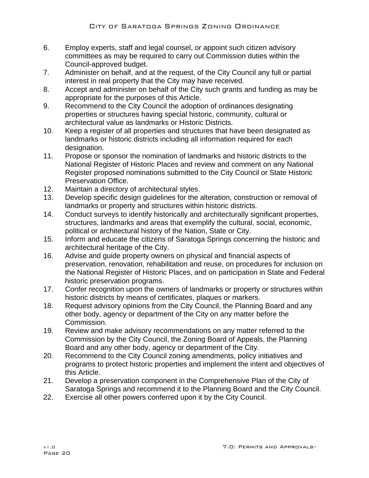- 6. Employ experts, staff and legal counsel, or appoint such citizen advisory committees as may be required to carry out Commission duties within the Council-approved budget.
- 7. Administer on behalf, and at the request, of the City Council any full or partial interest in real property that the City may have received.
- 8. Accept and administer on behalf of the City such grants and funding as may be appropriate for the purposes of this Article.
- 9. Recommend to the City Council the adoption of ordinances designating properties or structures having special historic, community, cultural or architectural value as landmarks or Historic Districts.
- 10. Keep a register of all properties and structures that have been designated as landmarks or historic districts including all information required for each designation.
- 11. Propose or sponsor the nomination of landmarks and historic districts to the National Register of Historic Places and review and comment on any National Register proposed nominations submitted to the City Council or State Historic Preservation Office.
- 12. Maintain a directory of architectural styles.
- 13. Develop specific design guidelines for the alteration, construction or removal of landmarks or property and structures within historic districts.
- 14. Conduct surveys to identify historically and architecturally significant properties, structures, landmarks and areas that exemplify the cultural, social, economic, political or architectural history of the Nation, State or City.
- 15. Inform and educate the citizens of Saratoga Springs concerning the historic and architectural heritage of the City.
- 16. Advise and guide property owners on physical and financial aspects of preservation, renovation, rehabilitation and reuse, on procedures for inclusion on the National Register of Historic Places, and on participation in State and Federal historic preservation programs.
- 17. Confer recognition upon the owners of landmarks or property or structures within historic districts by means of certificates, plaques or markers.
- 18. Request advisory opinions from the City Council, the Planning Board and any other body, agency or department of the City on any matter before the Commission.
- 19. Review and make advisory recommendations on any matter referred to the Commission by the City Council, the Zoning Board of Appeals, the Planning Board and any other body, agency or department of the City.
- 20. Recommend to the City Council zoning amendments, policy initiatives and programs to protect historic properties and implement the intent and objectives of this Article.
- 21. Develop a preservation component in the Comprehensive Plan of the City of Saratoga Springs and recommend it to the Planning Board and the City Council.
- 22. Exercise all other powers conferred upon it by the City Council.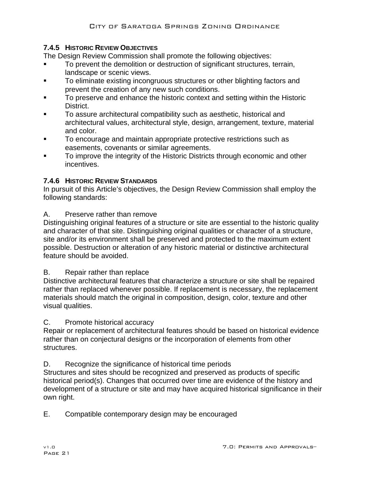# **7.4.5 HISTORIC REVIEW OBJECTIVES**

The Design Review Commission shall promote the following objectives:

- To prevent the demolition or destruction of significant structures, terrain, landscape or scenic views.
- To eliminate existing incongruous structures or other blighting factors and prevent the creation of any new such conditions.
- To preserve and enhance the historic context and setting within the Historic District.
- To assure architectural compatibility such as aesthetic, historical and architectural values, architectural style, design, arrangement, texture, material and color.
- To encourage and maintain appropriate protective restrictions such as easements, covenants or similar agreements.
- To improve the integrity of the Historic Districts through economic and other incentives.

# **7.4.6 HISTORIC REVIEW STANDARDS**

In pursuit of this Article's objectives, the Design Review Commission shall employ the following standards:

# A. Preserve rather than remove

Distinguishing original features of a structure or site are essential to the historic quality and character of that site. Distinguishing original qualities or character of a structure, site and/or its environment shall be preserved and protected to the maximum extent possible. Destruction or alteration of any historic material or distinctive architectural feature should be avoided.

## B. Repair rather than replace

Distinctive architectural features that characterize a structure or site shall be repaired rather than replaced whenever possible. If replacement is necessary, the replacement materials should match the original in composition, design, color, texture and other visual qualities.

## C. Promote historical accuracy

Repair or replacement of architectural features should be based on historical evidence rather than on conjectural designs or the incorporation of elements from other structures.

D. Recognize the significance of historical time periods

Structures and sites should be recognized and preserved as products of specific historical period(s). Changes that occurred over time are evidence of the history and development of a structure or site and may have acquired historical significance in their own right.

E. Compatible contemporary design may be encouraged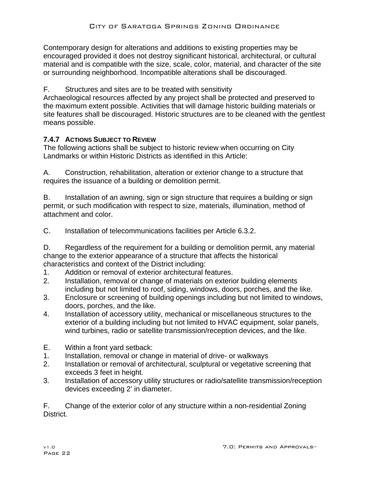Contemporary design for alterations and additions to existing properties may be encouraged provided it does not destroy significant historical, architectural, or cultural material and is compatible with the size, scale, color, material, and character of the site or surrounding neighborhood. Incompatible alterations shall be discouraged.

F. Structures and sites are to be treated with sensitivity

Archaeological resources affected by any project shall be protected and preserved to the maximum extent possible. Activities that will damage historic building materials or site features shall be discouraged. Historic structures are to be cleaned with the gentlest means possible.

# **7.4.7 ACTIONS SUBJECT TO REVIEW**

The following actions shall be subject to historic review when occurring on City Landmarks or within Historic Districts as identified in this Article:

A. Construction, rehabilitation, alteration or exterior change to a structure that requires the issuance of a building or demolition permit.

B. Installation of an awning, sign or sign structure that requires a building or sign permit, or such modification with respect to size, materials, illumination, method of attachment and color.

C. Installation of telecommunications facilities per Article 6.3.2.

D. Regardless of the requirement for a building or demolition permit, any material change to the exterior appearance of a structure that affects the historical characteristics and context of the District including:

- 1. Addition or removal of exterior architectural features.
- 2. Installation, removal or change of materials on exterior building elements including but not limited to roof, siding, windows, doors, porches, and the like.
- 3. Enclosure or screening of building openings including but not limited to windows, doors, porches, and the like.
- 4. Installation of accessory utility, mechanical or miscellaneous structures to the exterior of a building including but not limited to HVAC equipment, solar panels, wind turbines, radio or satellite transmission/reception devices, and the like.
- E. Within a front yard setback:
- 1. Installation, removal or change in material of drive- or walkways
- 2. Installation or removal of architectural, sculptural or vegetative screening that exceeds 3 feet in height.
- 3. Installation of accessory utility structures or radio/satellite transmission/reception devices exceeding 2' in diameter.

F. Change of the exterior color of any structure within a non-residential Zoning District.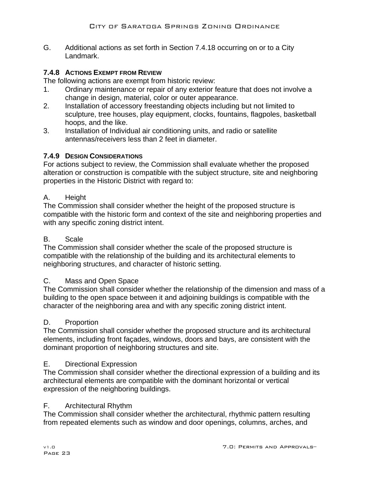G. Additional actions as set forth in Section 7.4.18 occurring on or to a City Landmark.

## **7.4.8 ACTIONS EXEMPT FROM REVIEW**

The following actions are exempt from historic review:

- 1. Ordinary maintenance or repair of any exterior feature that does not involve a change in design, material, color or outer appearance.
- 2. Installation of accessory freestanding objects including but not limited to sculpture, tree houses, play equipment, clocks, fountains, flagpoles, basketball hoops, and the like.
- 3. Installation of Individual air conditioning units, and radio or satellite antennas/receivers less than 2 feet in diameter.

# **7.4.9 DESIGN CONSIDERATIONS**

For actions subject to review, the Commission shall evaluate whether the proposed alteration or construction is compatible with the subject structure, site and neighboring properties in the Historic District with regard to:

## A. Height

The Commission shall consider whether the height of the proposed structure is compatible with the historic form and context of the site and neighboring properties and with any specific zoning district intent.

## B. Scale

The Commission shall consider whether the scale of the proposed structure is compatible with the relationship of the building and its architectural elements to neighboring structures, and character of historic setting.

## C. Mass and Open Space

The Commission shall consider whether the relationship of the dimension and mass of a building to the open space between it and adjoining buildings is compatible with the character of the neighboring area and with any specific zoning district intent.

## D. Proportion

The Commission shall consider whether the proposed structure and its architectural elements, including front façades, windows, doors and bays, are consistent with the dominant proportion of neighboring structures and site.

## E. Directional Expression

The Commission shall consider whether the directional expression of a building and its architectural elements are compatible with the dominant horizontal or vertical expression of the neighboring buildings.

## F. Architectural Rhythm

The Commission shall consider whether the architectural, rhythmic pattern resulting from repeated elements such as window and door openings, columns, arches, and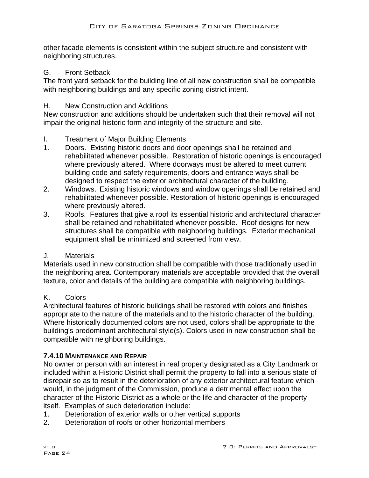other facade elements is consistent within the subject structure and consistent with neighboring structures.

## G. Front Setback

The front yard setback for the building line of all new construction shall be compatible with neighboring buildings and any specific zoning district intent.

## H. New Construction and Additions

New construction and additions should be undertaken such that their removal will not impair the original historic form and integrity of the structure and site.

## I. Treatment of Major Building Elements

- 1. Doors. Existing historic doors and door openings shall be retained and rehabilitated whenever possible. Restoration of historic openings is encouraged where previously altered. Where doorways must be altered to meet current building code and safety requirements, doors and entrance ways shall be designed to respect the exterior architectural character of the building.
- 2. Windows. Existing historic windows and window openings shall be retained and rehabilitated whenever possible. Restoration of historic openings is encouraged where previously altered.
- 3. Roofs. Features that give a roof its essential historic and architectural character shall be retained and rehabilitated whenever possible. Roof designs for new structures shall be compatible with neighboring buildings. Exterior mechanical equipment shall be minimized and screened from view.

## J. Materials

Materials used in new construction shall be compatible with those traditionally used in the neighboring area. Contemporary materials are acceptable provided that the overall texture, color and details of the building are compatible with neighboring buildings.

# K. Colors

Architectural features of historic buildings shall be restored with colors and finishes appropriate to the nature of the materials and to the historic character of the building. Where historically documented colors are not used, colors shall be appropriate to the building's predominant architectural style(s). Colors used in new construction shall be compatible with neighboring buildings.

## **7.4.10 MAINTENANCE AND REPAIR**

No owner or person with an interest in real property designated as a City Landmark or included within a Historic District shall permit the property to fall into a serious state of disrepair so as to result in the deterioration of any exterior architectural feature which would, in the judgment of the Commission, produce a detrimental effect upon the character of the Historic District as a whole or the life and character of the property itself. Examples of such deterioration include:

- 1. Deterioration of exterior walls or other vertical supports
- 2. Deterioration of roofs or other horizontal members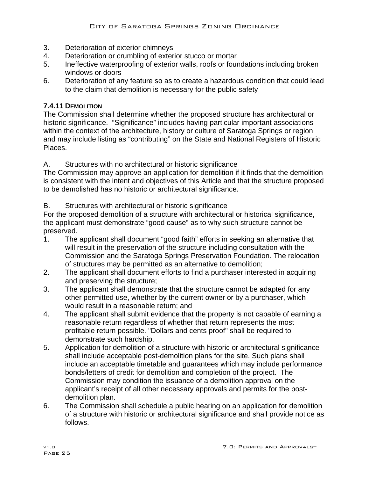- 3. Deterioration of exterior chimneys
- 4. Deterioration or crumbling of exterior stucco or mortar
- 5. Ineffective waterproofing of exterior walls, roofs or foundations including broken windows or doors
- 6. Deterioration of any feature so as to create a hazardous condition that could lead to the claim that demolition is necessary for the public safety

## **7.4.11 DEMOLITION**

The Commission shall determine whether the proposed structure has architectural or historic significance. "Significance" includes having particular important associations within the context of the architecture, history or culture of Saratoga Springs or region and may include listing as "contributing" on the State and National Registers of Historic Places.

A. Structures with no architectural or historic significance

The Commission may approve an application for demolition if it finds that the demolition is consistent with the intent and objectives of this Article and that the structure proposed to be demolished has no historic or architectural significance.

B. Structures with architectural or historic significance

For the proposed demolition of a structure with architectural or historical significance, the applicant must demonstrate "good cause" as to why such structure cannot be preserved.

- 1. The applicant shall document "good faith" efforts in seeking an alternative that will result in the preservation of the structure including consultation with the Commission and the Saratoga Springs Preservation Foundation. The relocation of structures may be permitted as an alternative to demolition;
- 2. The applicant shall document efforts to find a purchaser interested in acquiring and preserving the structure;
- 3. The applicant shall demonstrate that the structure cannot be adapted for any other permitted use, whether by the current owner or by a purchaser, which would result in a reasonable return; and
- 4. The applicant shall submit evidence that the property is not capable of earning a reasonable return regardless of whether that return represents the most profitable return possible. "Dollars and cents proof" shall be required to demonstrate such hardship.
- 5. Application for demolition of a structure with historic or architectural significance shall include acceptable post-demolition plans for the site. Such plans shall include an acceptable timetable and guarantees which may include performance bonds/letters of credit for demolition and completion of the project. The Commission may condition the issuance of a demolition approval on the applicant's receipt of all other necessary approvals and permits for the postdemolition plan.
- 6. The Commission shall schedule a public hearing on an application for demolition of a structure with historic or architectural significance and shall provide notice as follows.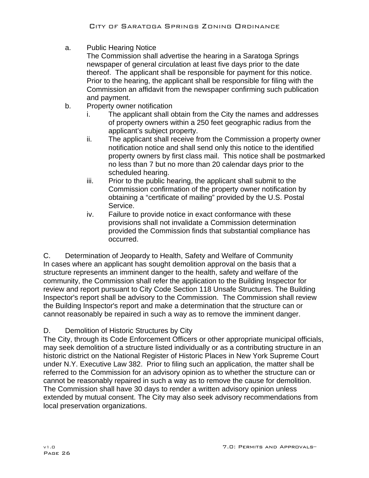a. Public Hearing Notice

The Commission shall advertise the hearing in a Saratoga Springs newspaper of general circulation at least five days prior to the date thereof. The applicant shall be responsible for payment for this notice. Prior to the hearing, the applicant shall be responsible for filing with the Commission an affidavit from the newspaper confirming such publication and payment.

- b. Property owner notification
	- i. The applicant shall obtain from the City the names and addresses of property owners within a 250 feet geographic radius from the applicant's subject property.
	- ii. The applicant shall receive from the Commission a property owner notification notice and shall send only this notice to the identified property owners by first class mail. This notice shall be postmarked no less than 7 but no more than 20 calendar days prior to the scheduled hearing.
	- iii. Prior to the public hearing, the applicant shall submit to the Commission confirmation of the property owner notification by obtaining a "certificate of mailing" provided by the U.S. Postal Service.
	- iv. Failure to provide notice in exact conformance with these provisions shall not invalidate a Commission determination provided the Commission finds that substantial compliance has occurred.

C. Determination of Jeopardy to Health, Safety and Welfare of Community In cases where an applicant has sought demolition approval on the basis that a structure represents an imminent danger to the health, safety and welfare of the community, the Commission shall refer the application to the Building Inspector for review and report pursuant to City Code Section 118 Unsafe Structures. The Building Inspector's report shall be advisory to the Commission. The Commission shall review the Building Inspector's report and make a determination that the structure can or cannot reasonably be repaired in such a way as to remove the imminent danger.

# D. Demolition of Historic Structures by City

The City, through its Code Enforcement Officers or other appropriate municipal officials, may seek demolition of a structure listed individually or as a contributing structure in an historic district on the National Register of Historic Places in New York Supreme Court under N.Y. Executive Law 382. Prior to filing such an application, the matter shall be referred to the Commission for an advisory opinion as to whether the structure can or cannot be reasonably repaired in such a way as to remove the cause for demolition. The Commission shall have 30 days to render a written advisory opinion unless extended by mutual consent. The City may also seek advisory recommendations from local preservation organizations.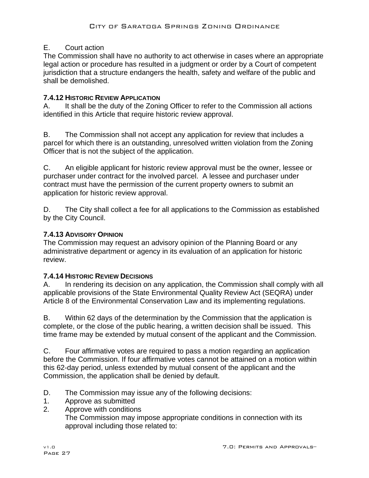# E. Court action

The Commission shall have no authority to act otherwise in cases where an appropriate legal action or procedure has resulted in a judgment or order by a Court of competent jurisdiction that a structure endangers the health, safety and welfare of the public and shall be demolished.

# **7.4.12 HISTORIC REVIEW APPLICATION**

A. It shall be the duty of the Zoning Officer to refer to the Commission all actions identified in this Article that require historic review approval.

B. The Commission shall not accept any application for review that includes a parcel for which there is an outstanding, unresolved written violation from the Zoning Officer that is not the subject of the application.

C. An eligible applicant for historic review approval must be the owner, lessee or purchaser under contract for the involved parcel. A lessee and purchaser under contract must have the permission of the current property owners to submit an application for historic review approval.

D. The City shall collect a fee for all applications to the Commission as established by the City Council.

# **7.4.13 ADVISORY OPINION**

The Commission may request an advisory opinion of the Planning Board or any administrative department or agency in its evaluation of an application for historic review.

# **7.4.14 HISTORIC REVIEW DECISIONS**

A. In rendering its decision on any application, the Commission shall comply with all applicable provisions of the State Environmental Quality Review Act (SEQRA) under Article 8 of the Environmental Conservation Law and its implementing regulations.

B. Within 62 days of the determination by the Commission that the application is complete, or the close of the public hearing, a written decision shall be issued. This time frame may be extended by mutual consent of the applicant and the Commission.

C. Four affirmative votes are required to pass a motion regarding an application before the Commission. If four affirmative votes cannot be attained on a motion within this 62-day period, unless extended by mutual consent of the applicant and the Commission, the application shall be denied by default.

D. The Commission may issue any of the following decisions:

- 1. Approve as submitted
- 2. Approve with conditions The Commission may impose appropriate conditions in connection with its approval including those related to: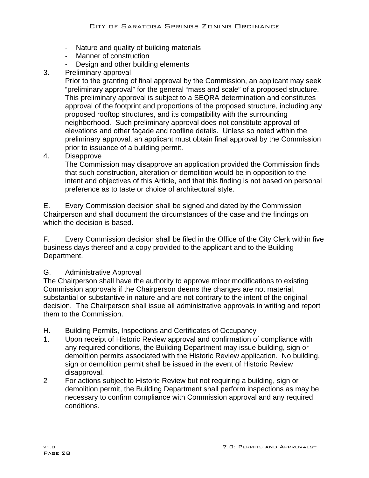- Nature and quality of building materials
- Manner of construction
- Design and other building elements
- 3. Preliminary approval

Prior to the granting of final approval by the Commission, an applicant may seek "preliminary approval" for the general "mass and scale" of a proposed structure. This preliminary approval is subject to a SEQRA determination and constitutes approval of the footprint and proportions of the proposed structure, including any proposed rooftop structures, and its compatibility with the surrounding neighborhood. Such preliminary approval does not constitute approval of elevations and other façade and roofline details. Unless so noted within the preliminary approval, an applicant must obtain final approval by the Commission prior to issuance of a building permit.

4. Disapprove

The Commission may disapprove an application provided the Commission finds that such construction, alteration or demolition would be in opposition to the intent and objectives of this Article, and that this finding is not based on personal preference as to taste or choice of architectural style.

E. Every Commission decision shall be signed and dated by the Commission Chairperson and shall document the circumstances of the case and the findings on which the decision is based.

F. Every Commission decision shall be filed in the Office of the City Clerk within five business days thereof and a copy provided to the applicant and to the Building Department.

## G. Administrative Approval

The Chairperson shall have the authority to approve minor modifications to existing Commission approvals if the Chairperson deems the changes are not material, substantial or substantive in nature and are not contrary to the intent of the original decision. The Chairperson shall issue all administrative approvals in writing and report them to the Commission.

- H. Building Permits, Inspections and Certificates of Occupancy
- 1. Upon receipt of Historic Review approval and confirmation of compliance with any required conditions, the Building Department may issue building, sign or demolition permits associated with the Historic Review application. No building, sign or demolition permit shall be issued in the event of Historic Review disapproval.
- 2 For actions subject to Historic Review but not requiring a building, sign or demolition permit, the Building Department shall perform inspections as may be necessary to confirm compliance with Commission approval and any required conditions.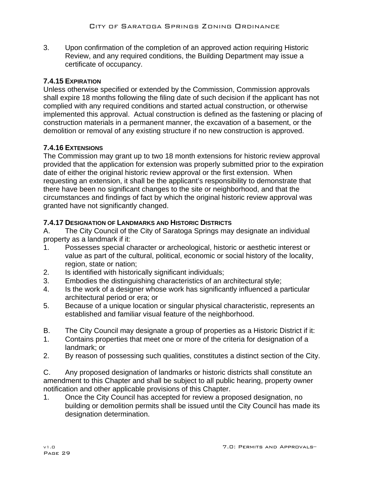3. Upon confirmation of the completion of an approved action requiring Historic Review, and any required conditions, the Building Department may issue a certificate of occupancy.

# **7.4.15 EXPIRATION**

Unless otherwise specified or extended by the Commission, Commission approvals shall expire 18 months following the filing date of such decision if the applicant has not complied with any required conditions and started actual construction, or otherwise implemented this approval. Actual construction is defined as the fastening or placing of construction materials in a permanent manner, the excavation of a basement, or the demolition or removal of any existing structure if no new construction is approved.

## **7.4.16 EXTENSIONS**

The Commission may grant up to two 18 month extensions for historic review approval provided that the application for extension was properly submitted prior to the expiration date of either the original historic review approval or the first extension. When requesting an extension, it shall be the applicant's responsibility to demonstrate that there have been no significant changes to the site or neighborhood, and that the circumstances and findings of fact by which the original historic review approval was granted have not significantly changed.

## **7.4.17 DESIGNATION OF LANDMARKS AND HISTORIC DISTRICTS**

A. The City Council of the City of Saratoga Springs may designate an individual property as a landmark if it:

- 1. Possesses special character or archeological, historic or aesthetic interest or value as part of the cultural, political, economic or social history of the locality, region, state or nation;
- 2. Is identified with historically significant individuals;
- 3. Embodies the distinguishing characteristics of an architectural style;
- 4. Is the work of a designer whose work has significantly influenced a particular architectural period or era; or
- 5. Because of a unique location or singular physical characteristic, represents an established and familiar visual feature of the neighborhood.
- B. The City Council may designate a group of properties as a Historic District if it:
- 1. Contains properties that meet one or more of the criteria for designation of a landmark; or
- 2. By reason of possessing such qualities, constitutes a distinct section of the City.

C. Any proposed designation of landmarks or historic districts shall constitute an amendment to this Chapter and shall be subject to all public hearing, property owner notification and other applicable provisions of this Chapter.

1. Once the City Council has accepted for review a proposed designation, no building or demolition permits shall be issued until the City Council has made its designation determination.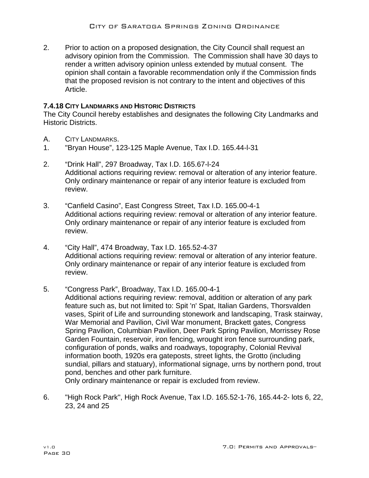2. Prior to action on a proposed designation, the City Council shall request an advisory opinion from the Commission. The Commission shall have 30 days to render a written advisory opinion unless extended by mutual consent. The opinion shall contain a favorable recommendation only if the Commission finds that the proposed revision is not contrary to the intent and objectives of this Article.

## **7.4.18 CITY LANDMARKS AND HISTORIC DISTRICTS**

The City Council hereby establishes and designates the following City Landmarks and Historic Districts.

- A. CITY LANDMARKS.
- 1. "Bryan House", 123-125 Maple Avenue, Tax I.D. 165.44-l-31
- 2. "Drink Hall", 297 Broadway, Tax I.D. 165.67-l-24 Additional actions requiring review: removal or alteration of any interior feature. Only ordinary maintenance or repair of any interior feature is excluded from review.
- 3. "Canfield Casino", East Congress Street, Tax I.D. 165.00-4-1 Additional actions requiring review: removal or alteration of any interior feature. Only ordinary maintenance or repair of any interior feature is excluded from review.
- 4. "City Hall", 474 Broadway, Tax I.D. 165.52-4-37 Additional actions requiring review: removal or alteration of any interior feature. Only ordinary maintenance or repair of any interior feature is excluded from review.

## 5. "Congress Park", Broadway, Tax I.D. 165.00-4-1

 Additional actions requiring review: removal, addition or alteration of any park feature such as, but not limited to: Spit 'n' Spat, Italian Gardens, Thorsvalden vases, Spirit of Life and surrounding stonework and landscaping, Trask stairway, War Memorial and Pavilion, Civil War monument, Brackett gates, Congress Spring Pavilion, Columbian Pavilion, Deer Park Spring Pavilion, Morrissey Rose Garden Fountain, reservoir, iron fencing, wrought iron fence surrounding park, configuration of ponds, walks and roadways, topography, Colonial Revival information booth, 1920s era gateposts, street lights, the Grotto (including sundial, pillars and statuary), informational signage, urns by northern pond, trout pond, benches and other park furniture.

Only ordinary maintenance or repair is excluded from review.

6. "High Rock Park", High Rock Avenue, Tax I.D. 165.52-1-76, 165.44-2- lots 6, 22, 23, 24 and 25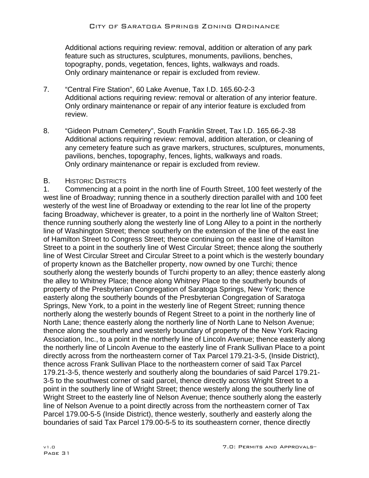Additional actions requiring review: removal, addition or alteration of any park feature such as structures, sculptures, monuments, pavilions, benches, topography, ponds, vegetation, fences, lights, walkways and roads. Only ordinary maintenance or repair is excluded from review.

- 7. "Central Fire Station", 60 Lake Avenue, Tax I.D. 165.60-2-3 Additional actions requiring review: removal or alteration of any interior feature. Only ordinary maintenance or repair of any interior feature is excluded from review.
- 8. "Gideon Putnam Cemetery", South Franklin Street, Tax I.D. 165.66-2-38 Additional actions requiring review: removal, addition alteration, or cleaning of any cemetery feature such as grave markers, structures, sculptures, monuments, pavilions, benches, topography, fences, lights, walkways and roads. Only ordinary maintenance or repair is excluded from review.

## B. HISTORIC DISTRICTS

1. Commencing at a point in the north line of Fourth Street, 100 feet westerly of the west line of Broadway; running thence in a southerly direction parallel with and 100 feet westerly of the west line of Broadway or extending to the rear lot line of the property facing Broadway, whichever is greater, to a point in the northerly line of Walton Street; thence running southerly along the westerly line of Long Alley to a point in the northerly line of Washington Street; thence southerly on the extension of the line of the east line of Hamilton Street to Congress Street; thence continuing on the east line of Hamilton Street to a point in the southerly line of West Circular Street; thence along the southerly line of West Circular Street and Circular Street to a point which is the westerly boundary of property known as the Batcheller property, now owned by one Turchi; thence southerly along the westerly bounds of Turchi property to an alley; thence easterly along the alley to Whitney Place; thence along Whitney Place to the southerly bounds of property of the Presbyterian Congregation of Saratoga Springs, New York; thence easterly along the southerly bounds of the Presbyterian Congregation of Saratoga Springs, New York, to a point in the westerly line of Regent Street; running thence northerly along the westerly bounds of Regent Street to a point in the northerly line of North Lane; thence easterly along the northerly line of North Lane to Nelson Avenue; thence along the southerly and westerly boundary of property of the New York Racing Association, Inc., to a point in the northerly line of Lincoln Avenue; thence easterly along the northerly line of Lincoln Avenue to the easterly line of Frank Sullivan Place to a point directly across from the northeastern corner of Tax Parcel 179.21-3-5, (Inside District), thence across Frank Sullivan Place to the northeastern corner of said Tax Parcel 179.21-3-5, thence westerly and southerly along the boundaries of said Parcel 179.21- 3-5 to the southwest corner of said parcel, thence directly across Wright Street to a point in the southerly line of Wright Street; thence westerly along the southerly line of Wright Street to the easterly line of Nelson Avenue; thence southerly along the easterly line of Nelson Avenue to a point directly across from the northeastern corner of Tax Parcel 179.00-5-5 (Inside District), thence westerly, southerly and easterly along the boundaries of said Tax Parcel 179.00-5-5 to its southeastern corner, thence directly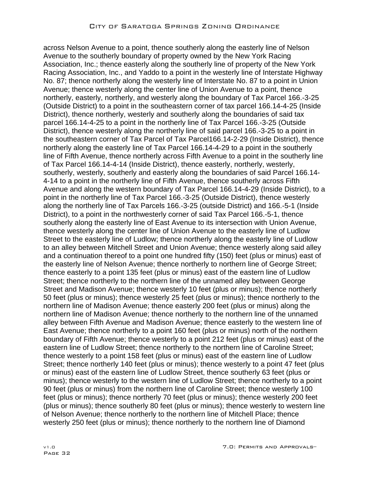across Nelson Avenue to a point, thence southerly along the easterly line of Nelson Avenue to the southerly boundary of property owned by the New York Racing Association, Inc.; thence easterly along the southerly line of property of the New York Racing Association, Inc., and Yaddo to a point in the westerly line of Interstate Highway No. 87; thence northerly along the westerly line of Interstate No. 87 to a point in Union Avenue; thence westerly along the center line of Union Avenue to a point, thence northerly, easterly, northerly, and westerly along the boundary of Tax Parcel 166.-3-25 (Outside District) to a point in the southeastern corner of tax parcel 166.14-4-25 (Inside District), thence northerly, westerly and southerly along the boundaries of said tax parcel 166.14-4-25 to a point in the northerly line of Tax Parcel 166.-3-25 (Outside District), thence westerly along the northerly line of said parcel 166.-3-25 to a point in the southeastern corner of Tax Parcel of Tax Parcel166.14-2-29 (Inside District), thence northerly along the easterly line of Tax Parcel 166.14-4-29 to a point in the southerly line of Fifth Avenue, thence northerly across Fifth Avenue to a point in the southerly line of Tax Parcel 166.14-4-14 (Inside District), thence easterly, northerly, westerly, southerly, westerly, southerly and easterly along the boundaries of said Parcel 166.14- 4-14 to a point in the northerly line of Fifth Avenue, thence southerly across Fifth Avenue and along the western boundary of Tax Parcel 166.14-4-29 (Inside District), to a point in the northerly line of Tax Parcel 166.-3-25 (Outside District), thence westerly along the northerly line of Tax Parcels 166.-3-25 (outside District) and 166.-5-1 (Inside District), to a point in the northwesterly corner of said Tax Parcel 166.-5-1, thence southerly along the easterly line of East Avenue to its intersection with Union Avenue, thence westerly along the center line of Union Avenue to the easterly line of Ludlow Street to the easterly line of Ludlow; thence northerly along the easterly line of Ludlow to an alley between Mitchell Street and Union Avenue; thence westerly along said alley and a continuation thereof to a point one hundred fifty (150) feet (plus or minus) east of the easterly line of Nelson Avenue; thence northerly to northern line of George Street; thence easterly to a point 135 feet (plus or minus) east of the eastern line of Ludlow Street; thence northerly to the northern line of the unnamed alley between George Street and Madison Avenue; thence westerly 10 feet (plus or minus); thence northerly 50 feet (plus or minus); thence westerly 25 feet (plus or minus); thence northerly to the northern line of Madison Avenue; thence easterly 200 feet (plus or minus) along the northern line of Madison Avenue; thence northerly to the northern line of the unnamed alley between Fifth Avenue and Madison Avenue; thence easterly to the western line of East Avenue; thence northerly to a point 160 feet (plus or minus) north of the northern boundary of Fifth Avenue; thence westerly to a point 212 feet (plus or minus) east of the eastern line of Ludlow Street; thence northerly to the northern line of Caroline Street; thence westerly to a point 158 feet (plus or minus) east of the eastern line of Ludlow Street; thence northerly 140 feet (plus or minus); thence westerly to a point 47 feet (plus or minus) east of the eastern line of Ludlow Street, thence southerly 63 feet (plus or minus); thence westerly to the western line of Ludlow Street; thence northerly to a point 90 feet (plus or minus) from the northern line of Caroline Street; thence westerly 100 feet (plus or minus); thence northerly 70 feet (plus or minus); thence westerly 200 feet (plus or minus); thence southerly 80 feet (plus or minus); thence westerly to western line of Nelson Avenue; thence northerly to the northern line of Mitchell Place; thence westerly 250 feet (plus or minus); thence northerly to the northern line of Diamond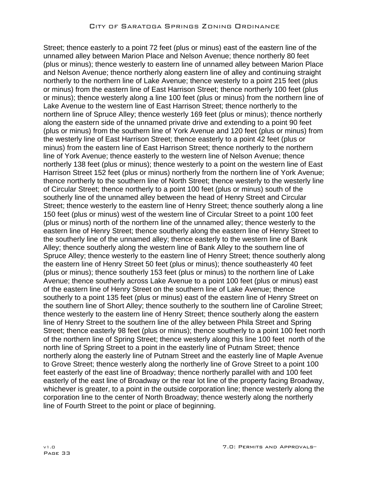Street; thence easterly to a point 72 feet (plus or minus) east of the eastern line of the unnamed alley between Marion Place and Nelson Avenue; thence northerly 80 feet (plus or minus); thence westerly to eastern line of unnamed alley between Marion Place and Nelson Avenue; thence northerly along eastern line of alley and continuing straight northerly to the northern line of Lake Avenue; thence westerly to a point 215 feet (plus or minus) from the eastern line of East Harrison Street; thence northerly 100 feet (plus or minus); thence westerly along a line 100 feet (plus or minus) from the northern line of Lake Avenue to the western line of East Harrison Street; thence northerly to the northern line of Spruce Alley; thence westerly 169 feet (plus or minus); thence northerly along the eastern side of the unnamed private drive and extending to a point 90 feet (plus or minus) from the southern line of York Avenue and 120 feet (plus or minus) from the westerly line of East Harrison Street; thence easterly to a point 42 feet (plus or minus) from the eastern line of East Harrison Street; thence northerly to the northern line of York Avenue; thence easterly to the western line of Nelson Avenue; thence northerly 138 feet (plus or minus); thence westerly to a point on the western line of East Harrison Street 152 feet (plus or minus) northerly from the northern line of York Avenue; thence northerly to the southern line of North Street; thence westerly to the westerly line of Circular Street; thence northerly to a point 100 feet (plus or minus) south of the southerly line of the unnamed alley between the head of Henry Street and Circular Street; thence westerly to the eastern line of Henry Street; thence southerly along a line 150 feet (plus or minus) west of the western line of Circular Street to a point 100 feet (plus or minus) north of the northern line of the unnamed alley; thence westerly to the eastern line of Henry Street; thence southerly along the eastern line of Henry Street to the southerly line of the unnamed alley; thence easterly to the western line of Bank Alley; thence southerly along the western line of Bank Alley to the southern line of Spruce Alley; thence westerly to the eastern line of Henry Street; thence southerly along the eastern line of Henry Street 50 feet (plus or minus); thence southeasterly 40 feet (plus or minus); thence southerly 153 feet (plus or minus) to the northern line of Lake Avenue; thence southerly across Lake Avenue to a point 100 feet (plus or minus) east of the eastern line of Henry Street on the southern line of Lake Avenue; thence southerly to a point 135 feet (plus or minus) east of the eastern line of Henry Street on the southern line of Short Alley; thence southerly to the southern line of Caroline Street; thence westerly to the eastern line of Henry Street; thence southerly along the eastern line of Henry Street to the southern line of the alley between Phila Street and Spring Street; thence easterly 98 feet (plus or minus); thence southerly to a point 100 feet north of the northern line of Spring Street; thence westerly along this line 100 feet north of the north line of Spring Street to a point in the easterly line of Putnam Street; thence northerly along the easterly line of Putnam Street and the easterly line of Maple Avenue to Grove Street; thence westerly along the northerly line of Grove Street to a point 100 feet easterly of the east line of Broadway; thence northerly parallel with and 100 feet easterly of the east line of Broadway or the rear lot line of the property facing Broadway, whichever is greater, to a point in the outside corporation line; thence westerly along the corporation line to the center of North Broadway; thence westerly along the northerly line of Fourth Street to the point or place of beginning.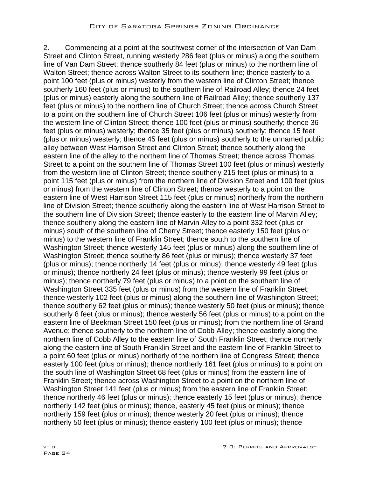2. Commencing at a point at the southwest corner of the intersection of Van Dam Street and Clinton Street, running westerly 286 feet (plus or minus) along the southern line of Van Dam Street; thence southerly 84 feet (plus or minus) to the northern line of Walton Street; thence across Walton Street to its southern line; thence easterly to a point 100 feet (plus or minus) westerly from the western line of Clinton Street; thence southerly 160 feet (plus or minus) to the southern line of Railroad Alley; thence 24 feet (plus or minus) easterly along the southern line of Railroad Alley; thence southerly 137 feet (plus or minus) to the northern line of Church Street; thence across Church Street to a point on the southern line of Church Street 106 feet (plus or minus) westerly from the western line of Clinton Street; thence 100 feet (plus or minus) southerly; thence 36 feet (plus or minus) westerly; thence 35 feet (plus or minus) southerly; thence 15 feet (plus or minus) westerly; thence 45 feet (plus or minus) southerly to the unnamed public alley between West Harrison Street and Clinton Street; thence southerly along the eastern line of the alley to the northern line of Thomas Street; thence across Thomas Street to a point on the southern line of Thomas Street 100 feet (plus or minus) westerly from the western line of Clinton Street; thence southerly 215 feet (plus or minus) to a point 115 feet (plus or minus) from the northern line of Division Street and 100 feet (plus or minus) from the western line of Clinton Street; thence westerly to a point on the eastern line of West Harrison Street 115 feet (plus or minus) northerly from the northern line of Division Street; thence southerly along the eastern line of West Harrison Street to the southern line of Division Street; thence easterly to the eastern line of Marvin Alley; thence southerly along the eastern line of Marvin Alley to a point 332 feet (plus or minus) south of the southern line of Cherry Street; thence easterly 150 feet (plus or minus) to the western line of Franklin Street; thence south to the southern line of Washington Street; thence westerly 145 feet (plus or minus) along the southern line of Washington Street; thence southerly 86 feet (plus or minus); thence westerly 37 feet (plus or minus); thence northerly 14 feet (plus or minus); thence westerly 49 feet (plus or minus); thence northerly 24 feet (plus or minus); thence westerly 99 feet (plus or minus); thence northerly 79 feet (plus or minus) to a point on the southern line of Washington Street 335 feet (plus or minus) from the western line of Franklin Street; thence westerly 102 feet (plus or minus) along the southern line of Washington Street; thence southerly 62 feet (plus or minus); thence westerly 50 feet (plus or minus); thence southerly 8 feet (plus or minus); thence westerly 56 feet (plus or minus) to a point on the eastern line of Beekman Street 150 feet (plus or minus); from the northern line of Grand Avenue; thence southerly to the northern line of Cobb Alley; thence easterly along the northern line of Cobb Alley to the eastern line of South Franklin Street; thence northerly along the eastern line of South Franklin Street and the eastern line of Franklin Street to a point 60 feet (plus or minus) northerly of the northern line of Congress Street; thence easterly 100 feet (plus or minus); thence northerly 161 feet (plus or minus) to a point on the south line of Washington Street 68 feet (plus or minus) from the eastern line of Franklin Street; thence across Washington Street to a point on the northern line of Washington Street 141 feet (plus or minus) from the eastern line of Franklin Street; thence northerly 46 feet (plus or minus); thence easterly 15 feet (plus or minus); thence northerly 142 feet (plus or minus); thence, easterly 45 feet (plus or minus); thence northerly 159 feet (plus or minus); thence westerly 20 feet (plus or minus); thence northerly 50 feet (plus or minus); thence easterly 100 feet (plus or minus); thence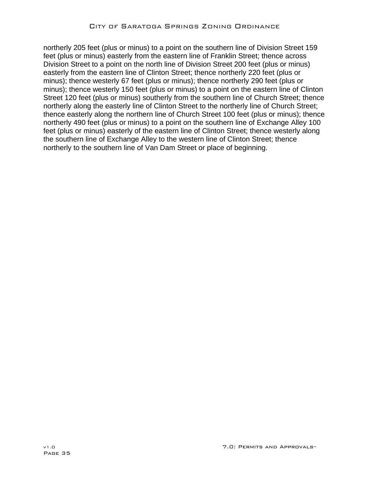northerly 205 feet (plus or minus) to a point on the southern line of Division Street 159 feet (plus or minus) easterly from the eastern line of Franklin Street; thence across Division Street to a point on the north line of Division Street 200 feet (plus or minus) easterly from the eastern line of Clinton Street; thence northerly 220 feet (plus or minus); thence westerly 67 feet (plus or minus); thence northerly 290 feet (plus or minus); thence westerly 150 feet (plus or minus) to a point on the eastern line of Clinton Street 120 feet (plus or minus) southerly from the southern line of Church Street; thence northerly along the easterly line of Clinton Street to the northerly line of Church Street; thence easterly along the northern line of Church Street 100 feet (plus or minus); thence northerly 490 feet (plus or minus) to a point on the southern line of Exchange Alley 100 feet (plus or minus) easterly of the eastern line of Clinton Street; thence westerly along the southern line of Exchange Alley to the western line of Clinton Street; thence northerly to the southern line of Van Dam Street or place of beginning.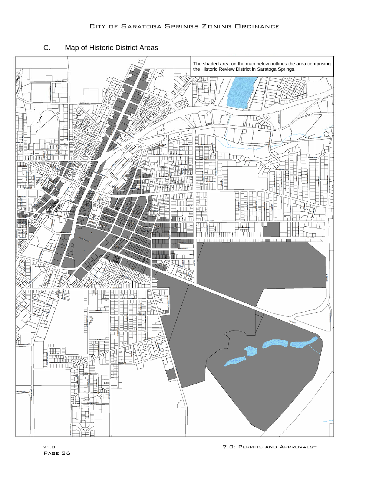# C. Map of Historic District Areas

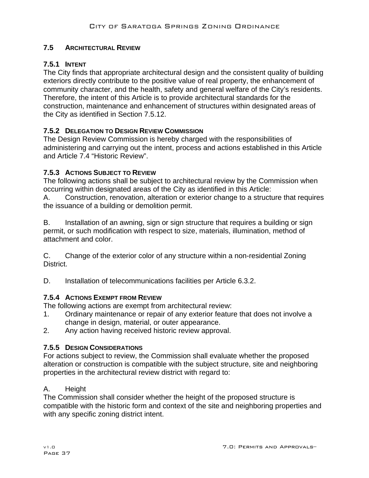## **7.5 ARCHITECTURAL REVIEW**

## **7.5.1 INTENT**

The City finds that appropriate architectural design and the consistent quality of building exteriors directly contribute to the positive value of real property, the enhancement of community character, and the health, safety and general welfare of the City's residents. Therefore, the intent of this Article is to provide architectural standards for the construction, maintenance and enhancement of structures within designated areas of the City as identified in Section 7.5.12.

## **7.5.2 DELEGATION TO DESIGN REVIEW COMMISSION**

The Design Review Commission is hereby charged with the responsibilities of administering and carrying out the intent, process and actions established in this Article and Article 7.4 "Historic Review".

## **7.5.3 ACTIONS SUBJECT TO REVIEW**

The following actions shall be subject to architectural review by the Commission when occurring within designated areas of the City as identified in this Article:

A. Construction, renovation, alteration or exterior change to a structure that requires the issuance of a building or demolition permit.

B. Installation of an awning, sign or sign structure that requires a building or sign permit, or such modification with respect to size, materials, illumination, method of attachment and color.

C. Change of the exterior color of any structure within a non-residential Zoning District.

D. Installation of telecommunications facilities per Article 6.3.2.

## **7.5.4 ACTIONS EXEMPT FROM REVIEW**

The following actions are exempt from architectural review:

- 1. Ordinary maintenance or repair of any exterior feature that does not involve a change in design, material, or outer appearance.
- 2. Any action having received historic review approval.

## **7.5.5 DESIGN CONSIDERATIONS**

For actions subject to review, the Commission shall evaluate whether the proposed alteration or construction is compatible with the subject structure, site and neighboring properties in the architectural review district with regard to:

## A. Height

The Commission shall consider whether the height of the proposed structure is compatible with the historic form and context of the site and neighboring properties and with any specific zoning district intent.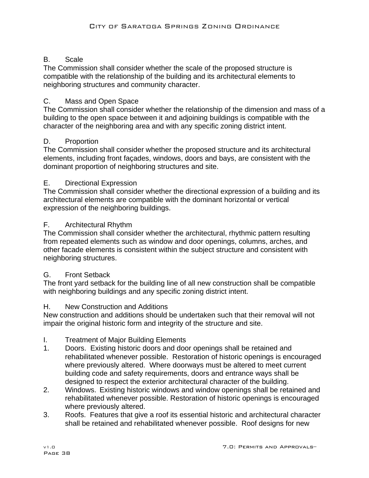# B. Scale

The Commission shall consider whether the scale of the proposed structure is compatible with the relationship of the building and its architectural elements to neighboring structures and community character.

# C. Mass and Open Space

The Commission shall consider whether the relationship of the dimension and mass of a building to the open space between it and adjoining buildings is compatible with the character of the neighboring area and with any specific zoning district intent.

# D. Proportion

The Commission shall consider whether the proposed structure and its architectural elements, including front façades, windows, doors and bays, are consistent with the dominant proportion of neighboring structures and site.

# E. Directional Expression

The Commission shall consider whether the directional expression of a building and its architectural elements are compatible with the dominant horizontal or vertical expression of the neighboring buildings.

# F. Architectural Rhythm

The Commission shall consider whether the architectural, rhythmic pattern resulting from repeated elements such as window and door openings, columns, arches, and other facade elements is consistent within the subject structure and consistent with neighboring structures.

# G. Front Setback

The front yard setback for the building line of all new construction shall be compatible with neighboring buildings and any specific zoning district intent.

# H. New Construction and Additions

New construction and additions should be undertaken such that their removal will not impair the original historic form and integrity of the structure and site.

# I. Treatment of Major Building Elements

- 1. Doors. Existing historic doors and door openings shall be retained and rehabilitated whenever possible. Restoration of historic openings is encouraged where previously altered. Where doorways must be altered to meet current building code and safety requirements, doors and entrance ways shall be designed to respect the exterior architectural character of the building.
- 2. Windows. Existing historic windows and window openings shall be retained and rehabilitated whenever possible. Restoration of historic openings is encouraged where previously altered.
- 3. Roofs. Features that give a roof its essential historic and architectural character shall be retained and rehabilitated whenever possible. Roof designs for new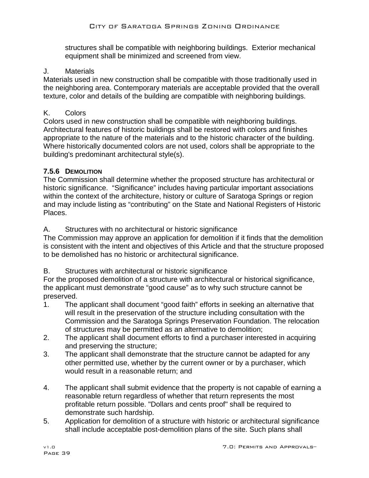structures shall be compatible with neighboring buildings. Exterior mechanical equipment shall be minimized and screened from view.

## J. Materials

Materials used in new construction shall be compatible with those traditionally used in the neighboring area. Contemporary materials are acceptable provided that the overall texture, color and details of the building are compatible with neighboring buildings.

## K. Colors

Colors used in new construction shall be compatible with neighboring buildings. Architectural features of historic buildings shall be restored with colors and finishes appropriate to the nature of the materials and to the historic character of the building. Where historically documented colors are not used, colors shall be appropriate to the building's predominant architectural style(s).

## **7.5.6 DEMOLITION**

The Commission shall determine whether the proposed structure has architectural or historic significance. "Significance" includes having particular important associations within the context of the architecture, history or culture of Saratoga Springs or region and may include listing as "contributing" on the State and National Registers of Historic Places.

## A. Structures with no architectural or historic significance

The Commission may approve an application for demolition if it finds that the demolition is consistent with the intent and objectives of this Article and that the structure proposed to be demolished has no historic or architectural significance.

## B. Structures with architectural or historic significance

For the proposed demolition of a structure with architectural or historical significance, the applicant must demonstrate "good cause" as to why such structure cannot be preserved.

- 1. The applicant shall document "good faith" efforts in seeking an alternative that will result in the preservation of the structure including consultation with the Commission and the Saratoga Springs Preservation Foundation. The relocation of structures may be permitted as an alternative to demolition;
- 2. The applicant shall document efforts to find a purchaser interested in acquiring and preserving the structure;
- 3. The applicant shall demonstrate that the structure cannot be adapted for any other permitted use, whether by the current owner or by a purchaser, which would result in a reasonable return; and
- 4. The applicant shall submit evidence that the property is not capable of earning a reasonable return regardless of whether that return represents the most profitable return possible. "Dollars and cents proof" shall be required to demonstrate such hardship.
- 5. Application for demolition of a structure with historic or architectural significance shall include acceptable post-demolition plans of the site. Such plans shall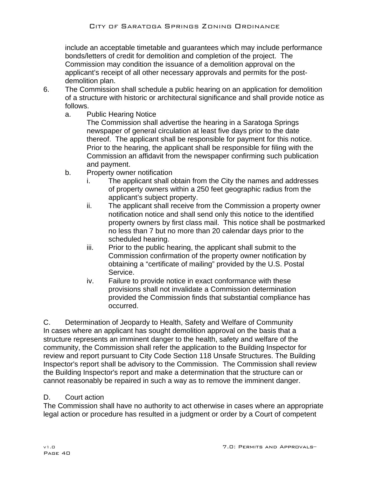include an acceptable timetable and guarantees which may include performance bonds/letters of credit for demolition and completion of the project. The Commission may condition the issuance of a demolition approval on the applicant's receipt of all other necessary approvals and permits for the postdemolition plan.

- 6. The Commission shall schedule a public hearing on an application for demolition of a structure with historic or architectural significance and shall provide notice as follows.
	- a. Public Hearing Notice

The Commission shall advertise the hearing in a Saratoga Springs newspaper of general circulation at least five days prior to the date thereof. The applicant shall be responsible for payment for this notice. Prior to the hearing, the applicant shall be responsible for filing with the Commission an affidavit from the newspaper confirming such publication and payment.

- b. Property owner notification
	- i. The applicant shall obtain from the City the names and addresses of property owners within a 250 feet geographic radius from the applicant's subject property.
	- ii. The applicant shall receive from the Commission a property owner notification notice and shall send only this notice to the identified property owners by first class mail. This notice shall be postmarked no less than 7 but no more than 20 calendar days prior to the scheduled hearing.
	- iii. Prior to the public hearing, the applicant shall submit to the Commission confirmation of the property owner notification by obtaining a "certificate of mailing" provided by the U.S. Postal Service.
	- iv. Failure to provide notice in exact conformance with these provisions shall not invalidate a Commission determination provided the Commission finds that substantial compliance has occurred.

C. Determination of Jeopardy to Health, Safety and Welfare of Community In cases where an applicant has sought demolition approval on the basis that a structure represents an imminent danger to the health, safety and welfare of the community, the Commission shall refer the application to the Building Inspector for review and report pursuant to City Code Section 118 Unsafe Structures. The Building Inspector's report shall be advisory to the Commission. The Commission shall review the Building Inspector's report and make a determination that the structure can or cannot reasonably be repaired in such a way as to remove the imminent danger.

# D. Court action

The Commission shall have no authority to act otherwise in cases where an appropriate legal action or procedure has resulted in a judgment or order by a Court of competent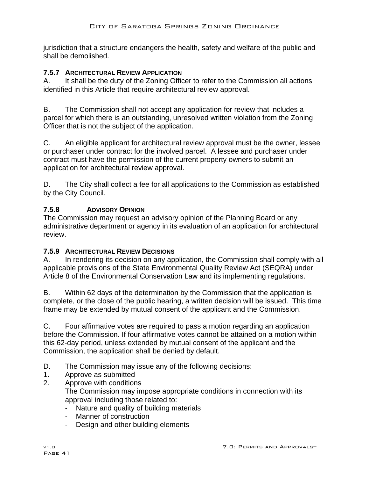jurisdiction that a structure endangers the health, safety and welfare of the public and shall be demolished.

## **7.5.7 ARCHITECTURAL REVIEW APPLICATION**

A. It shall be the duty of the Zoning Officer to refer to the Commission all actions identified in this Article that require architectural review approval.

B. The Commission shall not accept any application for review that includes a parcel for which there is an outstanding, unresolved written violation from the Zoning Officer that is not the subject of the application.

C. An eligible applicant for architectural review approval must be the owner, lessee or purchaser under contract for the involved parcel. A lessee and purchaser under contract must have the permission of the current property owners to submit an application for architectural review approval.

D. The City shall collect a fee for all applications to the Commission as established by the City Council.

# **7.5.8 ADVISORY OPINION**

The Commission may request an advisory opinion of the Planning Board or any administrative department or agency in its evaluation of an application for architectural review.

## **7.5.9 ARCHITECTURAL REVIEW DECISIONS**

A. In rendering its decision on any application, the Commission shall comply with all applicable provisions of the State Environmental Quality Review Act (SEQRA) under Article 8 of the Environmental Conservation Law and its implementing regulations.

B. Within 62 days of the determination by the Commission that the application is complete, or the close of the public hearing, a written decision will be issued. This time frame may be extended by mutual consent of the applicant and the Commission.

C. Four affirmative votes are required to pass a motion regarding an application before the Commission. If four affirmative votes cannot be attained on a motion within this 62-day period, unless extended by mutual consent of the applicant and the Commission, the application shall be denied by default.

- D. The Commission may issue any of the following decisions:
- 1. Approve as submitted
- 2. Approve with conditions The Commission may impose appropriate conditions in connection with its approval including those related to:
	- Nature and quality of building materials
	- Manner of construction
	- Design and other building elements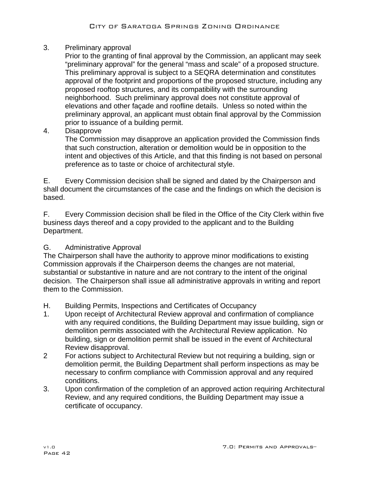3. Preliminary approval

Prior to the granting of final approval by the Commission, an applicant may seek "preliminary approval" for the general "mass and scale" of a proposed structure. This preliminary approval is subject to a SEQRA determination and constitutes approval of the footprint and proportions of the proposed structure, including any proposed rooftop structures, and its compatibility with the surrounding neighborhood. Such preliminary approval does not constitute approval of elevations and other façade and roofline details. Unless so noted within the preliminary approval, an applicant must obtain final approval by the Commission prior to issuance of a building permit.

4. Disapprove

The Commission may disapprove an application provided the Commission finds that such construction, alteration or demolition would be in opposition to the intent and objectives of this Article, and that this finding is not based on personal preference as to taste or choice of architectural style.

E. Every Commission decision shall be signed and dated by the Chairperson and shall document the circumstances of the case and the findings on which the decision is based.

F. Every Commission decision shall be filed in the Office of the City Clerk within five business days thereof and a copy provided to the applicant and to the Building Department.

# G. Administrative Approval

The Chairperson shall have the authority to approve minor modifications to existing Commission approvals if the Chairperson deems the changes are not material, substantial or substantive in nature and are not contrary to the intent of the original decision. The Chairperson shall issue all administrative approvals in writing and report them to the Commission.

- H. Building Permits, Inspections and Certificates of Occupancy
- 1. Upon receipt of Architectural Review approval and confirmation of compliance with any required conditions, the Building Department may issue building, sign or demolition permits associated with the Architectural Review application. No building, sign or demolition permit shall be issued in the event of Architectural Review disapproval.
- 2 For actions subject to Architectural Review but not requiring a building, sign or demolition permit, the Building Department shall perform inspections as may be necessary to confirm compliance with Commission approval and any required conditions.
- 3. Upon confirmation of the completion of an approved action requiring Architectural Review, and any required conditions, the Building Department may issue a certificate of occupancy.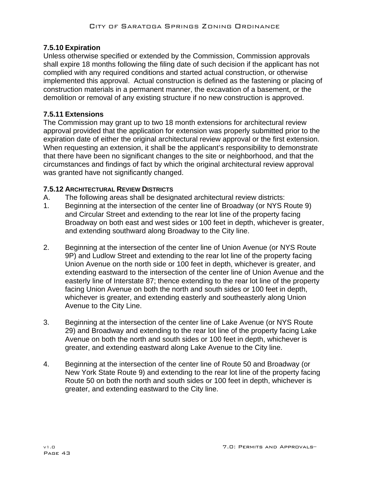# **7.5.10 Expiration**

Unless otherwise specified or extended by the Commission, Commission approvals shall expire 18 months following the filing date of such decision if the applicant has not complied with any required conditions and started actual construction, or otherwise implemented this approval. Actual construction is defined as the fastening or placing of construction materials in a permanent manner, the excavation of a basement, or the demolition or removal of any existing structure if no new construction is approved.

## **7.5.11 Extensions**

The Commission may grant up to two 18 month extensions for architectural review approval provided that the application for extension was properly submitted prior to the expiration date of either the original architectural review approval or the first extension. When requesting an extension, it shall be the applicant's responsibility to demonstrate that there have been no significant changes to the site or neighborhood, and that the circumstances and findings of fact by which the original architectural review approval was granted have not significantly changed.

## **7.5.12 ARCHITECTURAL REVIEW DISTRICTS**

- A. The following areas shall be designated architectural review districts:
- 1. Beginning at the intersection of the center line of Broadway (or NYS Route 9) and Circular Street and extending to the rear lot line of the property facing Broadway on both east and west sides or 100 feet in depth, whichever is greater, and extending southward along Broadway to the City line.
- 2. Beginning at the intersection of the center line of Union Avenue (or NYS Route 9P) and Ludlow Street and extending to the rear lot line of the property facing Union Avenue on the north side or 100 feet in depth, whichever is greater, and extending eastward to the intersection of the center line of Union Avenue and the easterly line of Interstate 87; thence extending to the rear lot line of the property facing Union Avenue on both the north and south sides or 100 feet in depth, whichever is greater, and extending easterly and southeasterly along Union Avenue to the City Line.
- 3. Beginning at the intersection of the center line of Lake Avenue (or NYS Route 29) and Broadway and extending to the rear lot line of the property facing Lake Avenue on both the north and south sides or 100 feet in depth, whichever is greater, and extending eastward along Lake Avenue to the City line.
- 4. Beginning at the intersection of the center line of Route 50 and Broadway (or New York State Route 9) and extending to the rear lot line of the property facing Route 50 on both the north and south sides or 100 feet in depth, whichever is greater, and extending eastward to the City line.